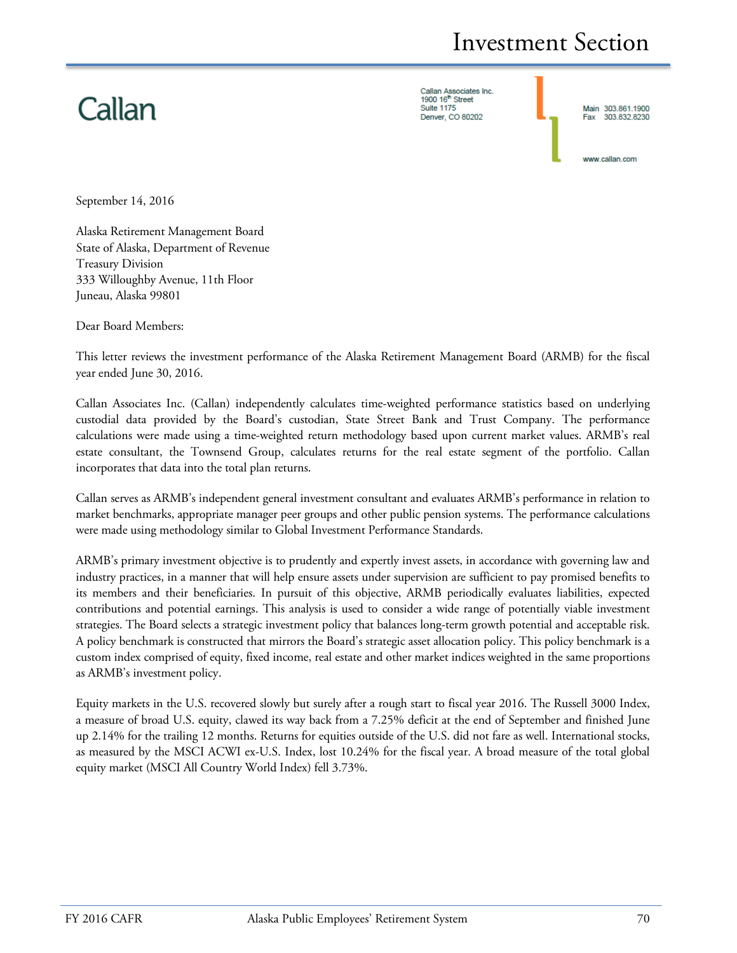# Callan

Callan Associates Inc.<br>1900 16<sup>th</sup> Street **Suite 1175** Denver, CO 80202

Main 303.861.1900 303 832 8230

www.callan.com

September 14, 2016

Alaska Retirement Management Board State of Alaska, Department of Revenue Treasury Division 333 Willoughby Avenue, 11th Floor Juneau, Alaska 99801

Dear Board Members:

This letter reviews the investment performance of the Alaska Retirement Management Board (ARMB) for the fiscal year ended June 30, 2016.

Callan Associates Inc. (Callan) independently calculates time-weighted performance statistics based on underlying custodial data provided by the Board's custodian, State Street Bank and Trust Company. The performance calculations were made using a time-weighted return methodology based upon current market values. ARMB's real estate consultant, the Townsend Group, calculates returns for the real estate segment of the portfolio. Callan incorporates that data into the total plan returns.

Callan serves as ARMB's independent general investment consultant and evaluates ARMB's performance in relation to market benchmarks, appropriate manager peer groups and other public pension systems. The performance calculations were made using methodology similar to Global Investment Performance Standards.

ARMB's primary investment objective is to prudently and expertly invest assets, in accordance with governing law and industry practices, in a manner that will help ensure assets under supervision are sufficient to pay promised benefits to its members and their beneficiaries. In pursuit of this objective, ARMB periodically evaluates liabilities, expected contributions and potential earnings. This analysis is used to consider a wide range of potentially viable investment strategies. The Board selects a strategic investment policy that balances long-term growth potential and acceptable risk. A policy benchmark is constructed that mirrors the Board's strategic asset allocation policy. This policy benchmark is a custom index comprised of equity, fixed income, real estate and other market indices weighted in the same proportions as ARMB's investment policy.

Equity markets in the U.S. recovered slowly but surely after a rough start to fiscal year 2016. The Russell 3000 Index, a measure of broad U.S. equity, clawed its way back from a 7.25% deficit at the end of September and finished June up 2.14% for the trailing 12 months. Returns for equities outside of the U.S. did not fare as well. International stocks, as measured by the MSCI ACWI ex-U.S. Index, lost 10.24% for the fiscal year. A broad measure of the total global equity market (MSCI All Country World Index) fell 3.73%.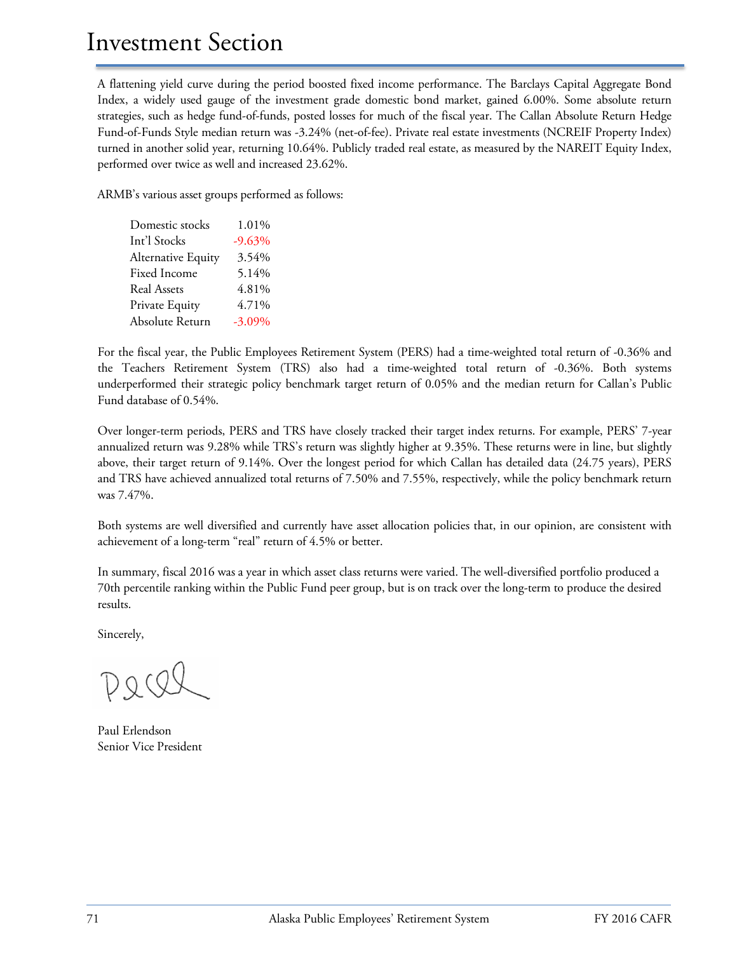A flattening yield curve during the period boosted fixed income performance. The Barclays Capital Aggregate Bond Index, a widely used gauge of the investment grade domestic bond market, gained 6.00%. Some absolute return strategies, such as hedge fund-of-funds, posted losses for much of the fiscal year. The Callan Absolute Return Hedge Fund-of-Funds Style median return was -3.24% (net-of-fee). Private real estate investments (NCREIF Property Index) turned in another solid year, returning 10.64%. Publicly traded real estate, as measured by the NAREIT Equity Index, performed over twice as well and increased 23.62%.

ARMB's various asset groups performed as follows:

Domestic stocks 1.01% Int'l Stocks -9.63% Alternative Equity 3.54% Fixed Income 5.14% Real Assets 4.81% Private Equity 4.71% Absolute Return -3.09%

For the fiscal year, the Public Employees Retirement System (PERS) had a time-weighted total return of -0.36% and the Teachers Retirement System (TRS) also had a time-weighted total return of -0.36%. Both systems underperformed their strategic policy benchmark target return of 0.05% and the median return for Callan's Public Fund database of 0.54%.

Over longer-term periods, PERS and TRS have closely tracked their target index returns. For example, PERS' 7-year annualized return was 9.28% while TRS's return was slightly higher at 9.35%. These returns were in line, but slightly above, their target return of 9.14%. Over the longest period for which Callan has detailed data (24.75 years), PERS and TRS have achieved annualized total returns of 7.50% and 7.55%, respectively, while the policy benchmark return was 7.47%.

Both systems are well diversified and currently have asset allocation policies that, in our opinion, are consistent with achievement of a long-term "real" return of 4.5% or better.

In summary, fiscal 2016 was a year in which asset class returns were varied. The well-diversified portfolio produced a 70th percentile ranking within the Public Fund peer group, but is on track over the long-term to produce the desired results.

Sincerely,

Paul Erlendson Senior Vice President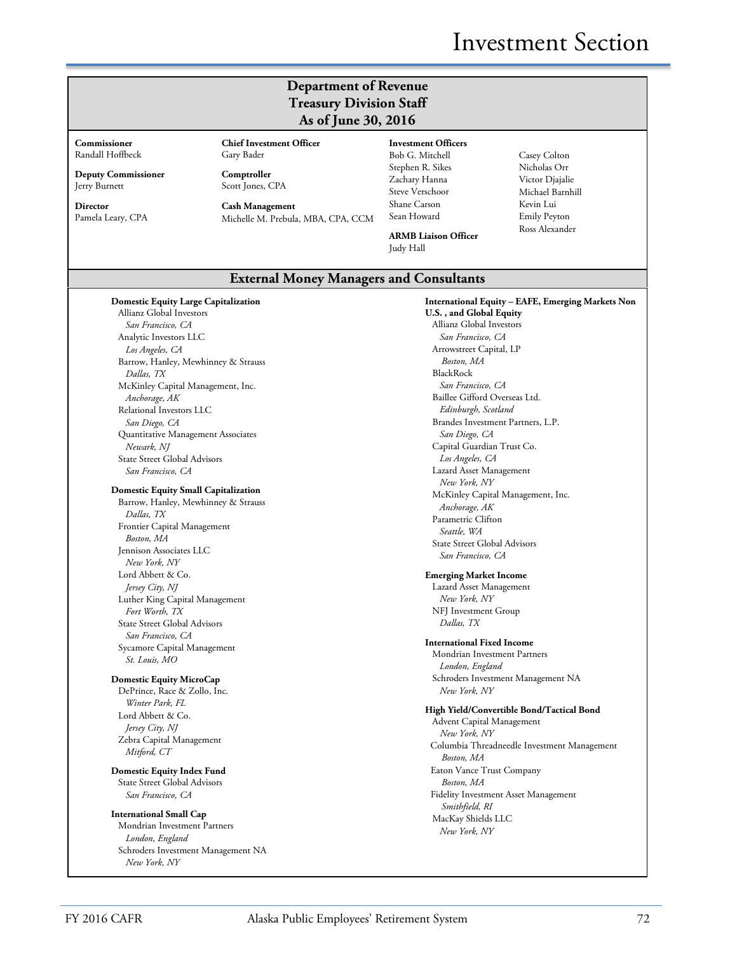# **Department of Revenue Treasury Division Staff As of June 30, 2016**

**Commissioner** Randall Hoffbeck

**Deputy Commissioner** Jerry Burnett

**Director** Pamela Leary, CPA Gary Bader **Comptroller** Scott Jones, CPA

**Chief Investment Officer**

**Cash Management** Michelle M. Prebula, MBA, CPA, CCM **Investment Officers** Bob G. Mitchell Stephen R. Sikes Zachary Hanna Steve Verschoor Shane Carson Sean Howard

Nicholas Orr Victor Djajalie Michael Barnhill Kevin Lui Emily Peyton Ross Alexander

**ARMB Liaison Officer** Judy Hall

# Casey Colton

## **External Money Managers and Consultants**

| <b>Domestic Equity Large Capitalization</b> | International Equity – EAFE, Emerging Markets Non      |
|---------------------------------------------|--------------------------------------------------------|
| Allianz Global Investors                    | U.S., and Global Equity                                |
| San Francisco, CA                           | Allianz Global Investors                               |
| Analytic Investors LLC                      | San Francisco. CA                                      |
| Los Angeles, CA                             | Arrowstreet Capital, LP                                |
| Barrow, Hanley, Mewhinney & Strauss         | Boston, MA                                             |
| Dallas, TX                                  | BlackRock                                              |
| McKinley Capital Management, Inc.           | San Francisco, CA                                      |
| Anchorage, AK                               | Baillee Gifford Overseas Ltd.                          |
| Relational Investors LLC                    | Edinburgh, Scotland                                    |
| San Diego, CA                               | Brandes Investment Partners, L.P.                      |
| Quantitative Management Associates          | San Diego, CA                                          |
| Newark, NJ                                  | Capital Guardian Trust Co.                             |
| <b>State Street Global Advisors</b>         | Los Angeles, CA                                        |
| San Francisco, CA                           | Lazard Asset Management                                |
|                                             | New York, NY                                           |
| <b>Domestic Equity Small Capitalization</b> | McKinley Capital Management, Inc.                      |
| Barrow, Hanley, Mewhinney & Strauss         | Anchorage, AK                                          |
| Dallas, TX                                  | Parametric Clifton                                     |
| Frontier Capital Management                 | Seattle, WA                                            |
| Boston, MA                                  | <b>State Street Global Advisors</b>                    |
| Jennison Associates LLC                     | San Francisco, CA                                      |
| New York, NY                                |                                                        |
| Lord Abbett & Co.                           | <b>Emerging Market Income</b>                          |
| Jersey City, NJ                             | Lazard Asset Management                                |
| Luther King Capital Management              | New York, NY                                           |
| Fort Worth, TX                              | NFJ Investment Group                                   |
| <b>State Street Global Advisors</b>         | Dallas, TX                                             |
| San Francisco, CA                           |                                                        |
| Sycamore Capital Management                 | <b>International Fixed Income</b>                      |
| St. Louis, MO                               | Mondrian Investment Partners                           |
|                                             | London, England                                        |
| <b>Domestic Equity MicroCap</b>             | Schroders Investment Management NA                     |
| DePrince, Race & Zollo, Inc.                | New York, NY                                           |
| Winter Park, FL                             | High Yield/Convertible Bond/Tactical Bond              |
| Lord Abbett & Co.                           | Advent Capital Management                              |
| Jersey City, NJ                             | New York, NY                                           |
| Zebra Capital Management                    | Columbia Threadneedle Investment Management            |
| Mitford, CT                                 | Boston, MA                                             |
| <b>Domestic Equity Index Fund</b>           | Eaton Vance Trust Company                              |
| <b>State Street Global Advisors</b>         | Boston, MA                                             |
| San Francisco, CA                           | Fidelity Investment Asset Management<br>Smithfield, RI |
| <b>International Small Cap</b>              | MacKay Shields LLC                                     |
| Mondrian Investment Partners                | New York. NY                                           |
| London, England                             |                                                        |
| Schroders Investment Management NA          |                                                        |

*New York, NY*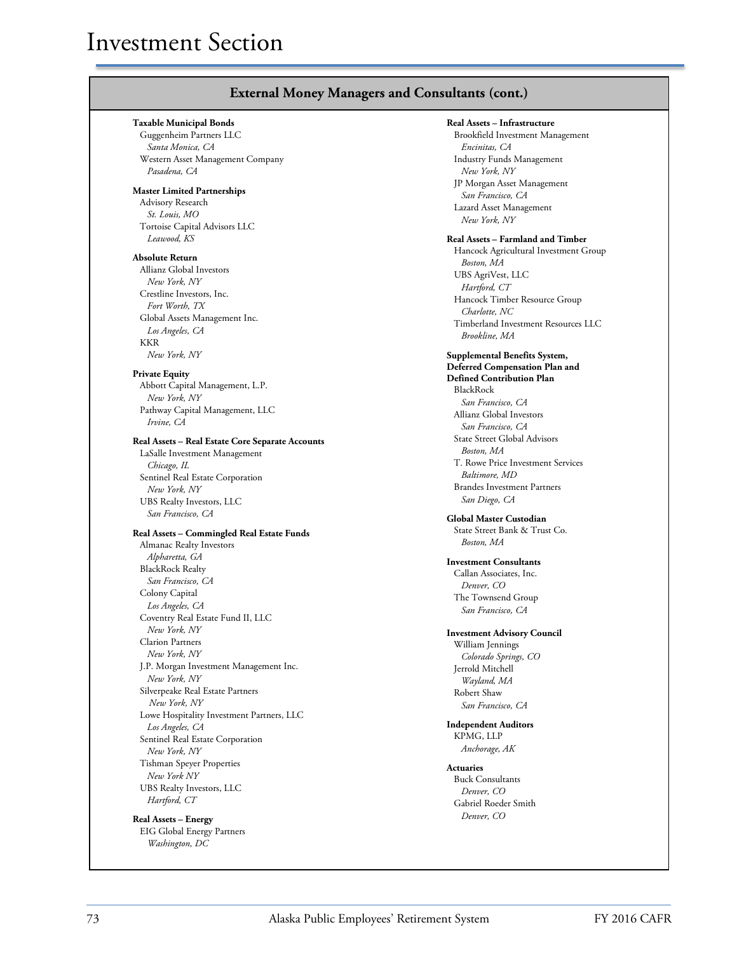| Real Assets - Infrastructure<br><b>Taxable Municipal Bonds</b><br>Brookfield Investment Management<br>Guggenheim Partners LLC<br>Santa Monica, CA<br>Encinitas, CA<br>Western Asset Management Company<br>Industry Funds Management<br>Pasadena, CA<br>New York, NY<br>JP Morgan Asset Management<br>San Francisco, CA<br>Advisory Research<br>Lazard Asset Management<br>St. Louis, MO<br>New York, NY<br>Tortoise Capital Advisors LLC<br>Leawood, KS<br>Real Assets - Farmland and Timber<br>Hancock Agricultural Investment Group<br>Boston, MA<br>Allianz Global Investors<br>UBS AgriVest, LLC<br>New York, NY<br>Hartford, CT<br>Crestline Investors, Inc.<br>Hancock Timber Resource Group<br>Fort Worth, TX<br>Charlotte, NC<br>Global Assets Management Inc.<br>Timberland Investment Resources LLC<br>Los Angeles, CA<br>Brookline, MA<br>KKR<br>New York, NY<br><b>Supplemental Benefits System,</b><br><b>Deferred Compensation Plan and</b><br><b>Defined Contribution Plan</b><br>Abbott Capital Management, L.P.<br>BlackRock<br>New York, NY<br>San Francisco, CA<br>Pathway Capital Management, LLC<br>Allianz Global Investors<br>Irvine, CA<br>San Francisco, CA<br><b>State Street Global Advisors</b><br>Boston, MA<br>LaSalle Investment Management<br>T. Rowe Price Investment Services<br>Chicago, IL<br><i>Baltimore, MD</i><br>Sentinel Real Estate Corporation<br><b>Brandes Investment Partners</b><br>New York, NY<br>San Diego, CA<br>UBS Realty Investors, LLC<br>San Francisco, CA<br><b>Global Master Custodian</b><br>State Street Bank & Trust Co.<br>Boston, MA<br>Almanac Realty Investors<br>Alpharetta, GA<br><b>Investment Consultants</b><br><b>BlackRock Realty</b><br>Callan Associates, Inc.<br>San Francisco, CA<br>Denver, CO<br>Colony Capital<br>The Townsend Group<br>Los Angeles, CA<br>San Francisco, CA<br>Coventry Real Estate Fund II, LLC<br>New York, NY<br><b>Investment Advisory Council</b><br><b>Clarion Partners</b><br>William Jennings<br>New York, NY<br>Colorado Springs, CO<br>J.P. Morgan Investment Management Inc.<br>Jerrold Mitchell<br>New York, NY<br>Wayland, MA<br>Silverpeake Real Estate Partners<br>Robert Shaw<br>New York, NY<br>San Francisco, CA<br>Lowe Hospitality Investment Partners, LLC<br><b>Independent Auditors</b><br>Los Angeles, CA<br>KPMG, LLP<br>Sentinel Real Estate Corporation<br>Anchorage, AK<br>New York, NY<br>Tishman Speyer Properties<br><b>Actuaries</b><br>New York NY<br><b>Buck Consultants</b><br>UBS Realty Investors, LLC<br>Denver, CO<br>Hartford, CT<br>Gabriel Roeder Smith<br>Denver, CO<br>EIG Global Energy Partners |                                                  |  |
|------------------------------------------------------------------------------------------------------------------------------------------------------------------------------------------------------------------------------------------------------------------------------------------------------------------------------------------------------------------------------------------------------------------------------------------------------------------------------------------------------------------------------------------------------------------------------------------------------------------------------------------------------------------------------------------------------------------------------------------------------------------------------------------------------------------------------------------------------------------------------------------------------------------------------------------------------------------------------------------------------------------------------------------------------------------------------------------------------------------------------------------------------------------------------------------------------------------------------------------------------------------------------------------------------------------------------------------------------------------------------------------------------------------------------------------------------------------------------------------------------------------------------------------------------------------------------------------------------------------------------------------------------------------------------------------------------------------------------------------------------------------------------------------------------------------------------------------------------------------------------------------------------------------------------------------------------------------------------------------------------------------------------------------------------------------------------------------------------------------------------------------------------------------------------------------------------------------------------------------------------------------------------------------------------------------------------------------------------------------------------------------------------------------------------------------------------------------------------------------------------------------------------------------------------------------------------------------------------------------------------------------------|--------------------------------------------------|--|
|                                                                                                                                                                                                                                                                                                                                                                                                                                                                                                                                                                                                                                                                                                                                                                                                                                                                                                                                                                                                                                                                                                                                                                                                                                                                                                                                                                                                                                                                                                                                                                                                                                                                                                                                                                                                                                                                                                                                                                                                                                                                                                                                                                                                                                                                                                                                                                                                                                                                                                                                                                                                                                                |                                                  |  |
| <b>Absolute Return</b><br><b>Private Equity</b><br>Real Assets – Commingled Real Estate Funds                                                                                                                                                                                                                                                                                                                                                                                                                                                                                                                                                                                                                                                                                                                                                                                                                                                                                                                                                                                                                                                                                                                                                                                                                                                                                                                                                                                                                                                                                                                                                                                                                                                                                                                                                                                                                                                                                                                                                                                                                                                                                                                                                                                                                                                                                                                                                                                                                                                                                                                                                  |                                                  |  |
|                                                                                                                                                                                                                                                                                                                                                                                                                                                                                                                                                                                                                                                                                                                                                                                                                                                                                                                                                                                                                                                                                                                                                                                                                                                                                                                                                                                                                                                                                                                                                                                                                                                                                                                                                                                                                                                                                                                                                                                                                                                                                                                                                                                                                                                                                                                                                                                                                                                                                                                                                                                                                                                |                                                  |  |
|                                                                                                                                                                                                                                                                                                                                                                                                                                                                                                                                                                                                                                                                                                                                                                                                                                                                                                                                                                                                                                                                                                                                                                                                                                                                                                                                                                                                                                                                                                                                                                                                                                                                                                                                                                                                                                                                                                                                                                                                                                                                                                                                                                                                                                                                                                                                                                                                                                                                                                                                                                                                                                                | <b>Master Limited Partnerships</b>               |  |
|                                                                                                                                                                                                                                                                                                                                                                                                                                                                                                                                                                                                                                                                                                                                                                                                                                                                                                                                                                                                                                                                                                                                                                                                                                                                                                                                                                                                                                                                                                                                                                                                                                                                                                                                                                                                                                                                                                                                                                                                                                                                                                                                                                                                                                                                                                                                                                                                                                                                                                                                                                                                                                                |                                                  |  |
|                                                                                                                                                                                                                                                                                                                                                                                                                                                                                                                                                                                                                                                                                                                                                                                                                                                                                                                                                                                                                                                                                                                                                                                                                                                                                                                                                                                                                                                                                                                                                                                                                                                                                                                                                                                                                                                                                                                                                                                                                                                                                                                                                                                                                                                                                                                                                                                                                                                                                                                                                                                                                                                |                                                  |  |
|                                                                                                                                                                                                                                                                                                                                                                                                                                                                                                                                                                                                                                                                                                                                                                                                                                                                                                                                                                                                                                                                                                                                                                                                                                                                                                                                                                                                                                                                                                                                                                                                                                                                                                                                                                                                                                                                                                                                                                                                                                                                                                                                                                                                                                                                                                                                                                                                                                                                                                                                                                                                                                                |                                                  |  |
|                                                                                                                                                                                                                                                                                                                                                                                                                                                                                                                                                                                                                                                                                                                                                                                                                                                                                                                                                                                                                                                                                                                                                                                                                                                                                                                                                                                                                                                                                                                                                                                                                                                                                                                                                                                                                                                                                                                                                                                                                                                                                                                                                                                                                                                                                                                                                                                                                                                                                                                                                                                                                                                |                                                  |  |
|                                                                                                                                                                                                                                                                                                                                                                                                                                                                                                                                                                                                                                                                                                                                                                                                                                                                                                                                                                                                                                                                                                                                                                                                                                                                                                                                                                                                                                                                                                                                                                                                                                                                                                                                                                                                                                                                                                                                                                                                                                                                                                                                                                                                                                                                                                                                                                                                                                                                                                                                                                                                                                                |                                                  |  |
|                                                                                                                                                                                                                                                                                                                                                                                                                                                                                                                                                                                                                                                                                                                                                                                                                                                                                                                                                                                                                                                                                                                                                                                                                                                                                                                                                                                                                                                                                                                                                                                                                                                                                                                                                                                                                                                                                                                                                                                                                                                                                                                                                                                                                                                                                                                                                                                                                                                                                                                                                                                                                                                |                                                  |  |
|                                                                                                                                                                                                                                                                                                                                                                                                                                                                                                                                                                                                                                                                                                                                                                                                                                                                                                                                                                                                                                                                                                                                                                                                                                                                                                                                                                                                                                                                                                                                                                                                                                                                                                                                                                                                                                                                                                                                                                                                                                                                                                                                                                                                                                                                                                                                                                                                                                                                                                                                                                                                                                                |                                                  |  |
|                                                                                                                                                                                                                                                                                                                                                                                                                                                                                                                                                                                                                                                                                                                                                                                                                                                                                                                                                                                                                                                                                                                                                                                                                                                                                                                                                                                                                                                                                                                                                                                                                                                                                                                                                                                                                                                                                                                                                                                                                                                                                                                                                                                                                                                                                                                                                                                                                                                                                                                                                                                                                                                |                                                  |  |
|                                                                                                                                                                                                                                                                                                                                                                                                                                                                                                                                                                                                                                                                                                                                                                                                                                                                                                                                                                                                                                                                                                                                                                                                                                                                                                                                                                                                                                                                                                                                                                                                                                                                                                                                                                                                                                                                                                                                                                                                                                                                                                                                                                                                                                                                                                                                                                                                                                                                                                                                                                                                                                                |                                                  |  |
|                                                                                                                                                                                                                                                                                                                                                                                                                                                                                                                                                                                                                                                                                                                                                                                                                                                                                                                                                                                                                                                                                                                                                                                                                                                                                                                                                                                                                                                                                                                                                                                                                                                                                                                                                                                                                                                                                                                                                                                                                                                                                                                                                                                                                                                                                                                                                                                                                                                                                                                                                                                                                                                |                                                  |  |
|                                                                                                                                                                                                                                                                                                                                                                                                                                                                                                                                                                                                                                                                                                                                                                                                                                                                                                                                                                                                                                                                                                                                                                                                                                                                                                                                                                                                                                                                                                                                                                                                                                                                                                                                                                                                                                                                                                                                                                                                                                                                                                                                                                                                                                                                                                                                                                                                                                                                                                                                                                                                                                                |                                                  |  |
|                                                                                                                                                                                                                                                                                                                                                                                                                                                                                                                                                                                                                                                                                                                                                                                                                                                                                                                                                                                                                                                                                                                                                                                                                                                                                                                                                                                                                                                                                                                                                                                                                                                                                                                                                                                                                                                                                                                                                                                                                                                                                                                                                                                                                                                                                                                                                                                                                                                                                                                                                                                                                                                |                                                  |  |
|                                                                                                                                                                                                                                                                                                                                                                                                                                                                                                                                                                                                                                                                                                                                                                                                                                                                                                                                                                                                                                                                                                                                                                                                                                                                                                                                                                                                                                                                                                                                                                                                                                                                                                                                                                                                                                                                                                                                                                                                                                                                                                                                                                                                                                                                                                                                                                                                                                                                                                                                                                                                                                                |                                                  |  |
|                                                                                                                                                                                                                                                                                                                                                                                                                                                                                                                                                                                                                                                                                                                                                                                                                                                                                                                                                                                                                                                                                                                                                                                                                                                                                                                                                                                                                                                                                                                                                                                                                                                                                                                                                                                                                                                                                                                                                                                                                                                                                                                                                                                                                                                                                                                                                                                                                                                                                                                                                                                                                                                |                                                  |  |
|                                                                                                                                                                                                                                                                                                                                                                                                                                                                                                                                                                                                                                                                                                                                                                                                                                                                                                                                                                                                                                                                                                                                                                                                                                                                                                                                                                                                                                                                                                                                                                                                                                                                                                                                                                                                                                                                                                                                                                                                                                                                                                                                                                                                                                                                                                                                                                                                                                                                                                                                                                                                                                                |                                                  |  |
|                                                                                                                                                                                                                                                                                                                                                                                                                                                                                                                                                                                                                                                                                                                                                                                                                                                                                                                                                                                                                                                                                                                                                                                                                                                                                                                                                                                                                                                                                                                                                                                                                                                                                                                                                                                                                                                                                                                                                                                                                                                                                                                                                                                                                                                                                                                                                                                                                                                                                                                                                                                                                                                |                                                  |  |
|                                                                                                                                                                                                                                                                                                                                                                                                                                                                                                                                                                                                                                                                                                                                                                                                                                                                                                                                                                                                                                                                                                                                                                                                                                                                                                                                                                                                                                                                                                                                                                                                                                                                                                                                                                                                                                                                                                                                                                                                                                                                                                                                                                                                                                                                                                                                                                                                                                                                                                                                                                                                                                                |                                                  |  |
|                                                                                                                                                                                                                                                                                                                                                                                                                                                                                                                                                                                                                                                                                                                                                                                                                                                                                                                                                                                                                                                                                                                                                                                                                                                                                                                                                                                                                                                                                                                                                                                                                                                                                                                                                                                                                                                                                                                                                                                                                                                                                                                                                                                                                                                                                                                                                                                                                                                                                                                                                                                                                                                |                                                  |  |
|                                                                                                                                                                                                                                                                                                                                                                                                                                                                                                                                                                                                                                                                                                                                                                                                                                                                                                                                                                                                                                                                                                                                                                                                                                                                                                                                                                                                                                                                                                                                                                                                                                                                                                                                                                                                                                                                                                                                                                                                                                                                                                                                                                                                                                                                                                                                                                                                                                                                                                                                                                                                                                                |                                                  |  |
|                                                                                                                                                                                                                                                                                                                                                                                                                                                                                                                                                                                                                                                                                                                                                                                                                                                                                                                                                                                                                                                                                                                                                                                                                                                                                                                                                                                                                                                                                                                                                                                                                                                                                                                                                                                                                                                                                                                                                                                                                                                                                                                                                                                                                                                                                                                                                                                                                                                                                                                                                                                                                                                |                                                  |  |
|                                                                                                                                                                                                                                                                                                                                                                                                                                                                                                                                                                                                                                                                                                                                                                                                                                                                                                                                                                                                                                                                                                                                                                                                                                                                                                                                                                                                                                                                                                                                                                                                                                                                                                                                                                                                                                                                                                                                                                                                                                                                                                                                                                                                                                                                                                                                                                                                                                                                                                                                                                                                                                                |                                                  |  |
|                                                                                                                                                                                                                                                                                                                                                                                                                                                                                                                                                                                                                                                                                                                                                                                                                                                                                                                                                                                                                                                                                                                                                                                                                                                                                                                                                                                                                                                                                                                                                                                                                                                                                                                                                                                                                                                                                                                                                                                                                                                                                                                                                                                                                                                                                                                                                                                                                                                                                                                                                                                                                                                | Real Assets – Real Estate Core Separate Accounts |  |
|                                                                                                                                                                                                                                                                                                                                                                                                                                                                                                                                                                                                                                                                                                                                                                                                                                                                                                                                                                                                                                                                                                                                                                                                                                                                                                                                                                                                                                                                                                                                                                                                                                                                                                                                                                                                                                                                                                                                                                                                                                                                                                                                                                                                                                                                                                                                                                                                                                                                                                                                                                                                                                                |                                                  |  |
|                                                                                                                                                                                                                                                                                                                                                                                                                                                                                                                                                                                                                                                                                                                                                                                                                                                                                                                                                                                                                                                                                                                                                                                                                                                                                                                                                                                                                                                                                                                                                                                                                                                                                                                                                                                                                                                                                                                                                                                                                                                                                                                                                                                                                                                                                                                                                                                                                                                                                                                                                                                                                                                |                                                  |  |
|                                                                                                                                                                                                                                                                                                                                                                                                                                                                                                                                                                                                                                                                                                                                                                                                                                                                                                                                                                                                                                                                                                                                                                                                                                                                                                                                                                                                                                                                                                                                                                                                                                                                                                                                                                                                                                                                                                                                                                                                                                                                                                                                                                                                                                                                                                                                                                                                                                                                                                                                                                                                                                                |                                                  |  |
|                                                                                                                                                                                                                                                                                                                                                                                                                                                                                                                                                                                                                                                                                                                                                                                                                                                                                                                                                                                                                                                                                                                                                                                                                                                                                                                                                                                                                                                                                                                                                                                                                                                                                                                                                                                                                                                                                                                                                                                                                                                                                                                                                                                                                                                                                                                                                                                                                                                                                                                                                                                                                                                |                                                  |  |
|                                                                                                                                                                                                                                                                                                                                                                                                                                                                                                                                                                                                                                                                                                                                                                                                                                                                                                                                                                                                                                                                                                                                                                                                                                                                                                                                                                                                                                                                                                                                                                                                                                                                                                                                                                                                                                                                                                                                                                                                                                                                                                                                                                                                                                                                                                                                                                                                                                                                                                                                                                                                                                                |                                                  |  |
|                                                                                                                                                                                                                                                                                                                                                                                                                                                                                                                                                                                                                                                                                                                                                                                                                                                                                                                                                                                                                                                                                                                                                                                                                                                                                                                                                                                                                                                                                                                                                                                                                                                                                                                                                                                                                                                                                                                                                                                                                                                                                                                                                                                                                                                                                                                                                                                                                                                                                                                                                                                                                                                |                                                  |  |
|                                                                                                                                                                                                                                                                                                                                                                                                                                                                                                                                                                                                                                                                                                                                                                                                                                                                                                                                                                                                                                                                                                                                                                                                                                                                                                                                                                                                                                                                                                                                                                                                                                                                                                                                                                                                                                                                                                                                                                                                                                                                                                                                                                                                                                                                                                                                                                                                                                                                                                                                                                                                                                                |                                                  |  |
|                                                                                                                                                                                                                                                                                                                                                                                                                                                                                                                                                                                                                                                                                                                                                                                                                                                                                                                                                                                                                                                                                                                                                                                                                                                                                                                                                                                                                                                                                                                                                                                                                                                                                                                                                                                                                                                                                                                                                                                                                                                                                                                                                                                                                                                                                                                                                                                                                                                                                                                                                                                                                                                |                                                  |  |
|                                                                                                                                                                                                                                                                                                                                                                                                                                                                                                                                                                                                                                                                                                                                                                                                                                                                                                                                                                                                                                                                                                                                                                                                                                                                                                                                                                                                                                                                                                                                                                                                                                                                                                                                                                                                                                                                                                                                                                                                                                                                                                                                                                                                                                                                                                                                                                                                                                                                                                                                                                                                                                                |                                                  |  |
|                                                                                                                                                                                                                                                                                                                                                                                                                                                                                                                                                                                                                                                                                                                                                                                                                                                                                                                                                                                                                                                                                                                                                                                                                                                                                                                                                                                                                                                                                                                                                                                                                                                                                                                                                                                                                                                                                                                                                                                                                                                                                                                                                                                                                                                                                                                                                                                                                                                                                                                                                                                                                                                |                                                  |  |
|                                                                                                                                                                                                                                                                                                                                                                                                                                                                                                                                                                                                                                                                                                                                                                                                                                                                                                                                                                                                                                                                                                                                                                                                                                                                                                                                                                                                                                                                                                                                                                                                                                                                                                                                                                                                                                                                                                                                                                                                                                                                                                                                                                                                                                                                                                                                                                                                                                                                                                                                                                                                                                                |                                                  |  |
|                                                                                                                                                                                                                                                                                                                                                                                                                                                                                                                                                                                                                                                                                                                                                                                                                                                                                                                                                                                                                                                                                                                                                                                                                                                                                                                                                                                                                                                                                                                                                                                                                                                                                                                                                                                                                                                                                                                                                                                                                                                                                                                                                                                                                                                                                                                                                                                                                                                                                                                                                                                                                                                |                                                  |  |
|                                                                                                                                                                                                                                                                                                                                                                                                                                                                                                                                                                                                                                                                                                                                                                                                                                                                                                                                                                                                                                                                                                                                                                                                                                                                                                                                                                                                                                                                                                                                                                                                                                                                                                                                                                                                                                                                                                                                                                                                                                                                                                                                                                                                                                                                                                                                                                                                                                                                                                                                                                                                                                                |                                                  |  |
|                                                                                                                                                                                                                                                                                                                                                                                                                                                                                                                                                                                                                                                                                                                                                                                                                                                                                                                                                                                                                                                                                                                                                                                                                                                                                                                                                                                                                                                                                                                                                                                                                                                                                                                                                                                                                                                                                                                                                                                                                                                                                                                                                                                                                                                                                                                                                                                                                                                                                                                                                                                                                                                |                                                  |  |
|                                                                                                                                                                                                                                                                                                                                                                                                                                                                                                                                                                                                                                                                                                                                                                                                                                                                                                                                                                                                                                                                                                                                                                                                                                                                                                                                                                                                                                                                                                                                                                                                                                                                                                                                                                                                                                                                                                                                                                                                                                                                                                                                                                                                                                                                                                                                                                                                                                                                                                                                                                                                                                                |                                                  |  |
|                                                                                                                                                                                                                                                                                                                                                                                                                                                                                                                                                                                                                                                                                                                                                                                                                                                                                                                                                                                                                                                                                                                                                                                                                                                                                                                                                                                                                                                                                                                                                                                                                                                                                                                                                                                                                                                                                                                                                                                                                                                                                                                                                                                                                                                                                                                                                                                                                                                                                                                                                                                                                                                |                                                  |  |
|                                                                                                                                                                                                                                                                                                                                                                                                                                                                                                                                                                                                                                                                                                                                                                                                                                                                                                                                                                                                                                                                                                                                                                                                                                                                                                                                                                                                                                                                                                                                                                                                                                                                                                                                                                                                                                                                                                                                                                                                                                                                                                                                                                                                                                                                                                                                                                                                                                                                                                                                                                                                                                                |                                                  |  |
|                                                                                                                                                                                                                                                                                                                                                                                                                                                                                                                                                                                                                                                                                                                                                                                                                                                                                                                                                                                                                                                                                                                                                                                                                                                                                                                                                                                                                                                                                                                                                                                                                                                                                                                                                                                                                                                                                                                                                                                                                                                                                                                                                                                                                                                                                                                                                                                                                                                                                                                                                                                                                                                |                                                  |  |
|                                                                                                                                                                                                                                                                                                                                                                                                                                                                                                                                                                                                                                                                                                                                                                                                                                                                                                                                                                                                                                                                                                                                                                                                                                                                                                                                                                                                                                                                                                                                                                                                                                                                                                                                                                                                                                                                                                                                                                                                                                                                                                                                                                                                                                                                                                                                                                                                                                                                                                                                                                                                                                                |                                                  |  |
|                                                                                                                                                                                                                                                                                                                                                                                                                                                                                                                                                                                                                                                                                                                                                                                                                                                                                                                                                                                                                                                                                                                                                                                                                                                                                                                                                                                                                                                                                                                                                                                                                                                                                                                                                                                                                                                                                                                                                                                                                                                                                                                                                                                                                                                                                                                                                                                                                                                                                                                                                                                                                                                |                                                  |  |
|                                                                                                                                                                                                                                                                                                                                                                                                                                                                                                                                                                                                                                                                                                                                                                                                                                                                                                                                                                                                                                                                                                                                                                                                                                                                                                                                                                                                                                                                                                                                                                                                                                                                                                                                                                                                                                                                                                                                                                                                                                                                                                                                                                                                                                                                                                                                                                                                                                                                                                                                                                                                                                                |                                                  |  |
|                                                                                                                                                                                                                                                                                                                                                                                                                                                                                                                                                                                                                                                                                                                                                                                                                                                                                                                                                                                                                                                                                                                                                                                                                                                                                                                                                                                                                                                                                                                                                                                                                                                                                                                                                                                                                                                                                                                                                                                                                                                                                                                                                                                                                                                                                                                                                                                                                                                                                                                                                                                                                                                |                                                  |  |
|                                                                                                                                                                                                                                                                                                                                                                                                                                                                                                                                                                                                                                                                                                                                                                                                                                                                                                                                                                                                                                                                                                                                                                                                                                                                                                                                                                                                                                                                                                                                                                                                                                                                                                                                                                                                                                                                                                                                                                                                                                                                                                                                                                                                                                                                                                                                                                                                                                                                                                                                                                                                                                                |                                                  |  |
|                                                                                                                                                                                                                                                                                                                                                                                                                                                                                                                                                                                                                                                                                                                                                                                                                                                                                                                                                                                                                                                                                                                                                                                                                                                                                                                                                                                                                                                                                                                                                                                                                                                                                                                                                                                                                                                                                                                                                                                                                                                                                                                                                                                                                                                                                                                                                                                                                                                                                                                                                                                                                                                |                                                  |  |
|                                                                                                                                                                                                                                                                                                                                                                                                                                                                                                                                                                                                                                                                                                                                                                                                                                                                                                                                                                                                                                                                                                                                                                                                                                                                                                                                                                                                                                                                                                                                                                                                                                                                                                                                                                                                                                                                                                                                                                                                                                                                                                                                                                                                                                                                                                                                                                                                                                                                                                                                                                                                                                                |                                                  |  |
|                                                                                                                                                                                                                                                                                                                                                                                                                                                                                                                                                                                                                                                                                                                                                                                                                                                                                                                                                                                                                                                                                                                                                                                                                                                                                                                                                                                                                                                                                                                                                                                                                                                                                                                                                                                                                                                                                                                                                                                                                                                                                                                                                                                                                                                                                                                                                                                                                                                                                                                                                                                                                                                |                                                  |  |
|                                                                                                                                                                                                                                                                                                                                                                                                                                                                                                                                                                                                                                                                                                                                                                                                                                                                                                                                                                                                                                                                                                                                                                                                                                                                                                                                                                                                                                                                                                                                                                                                                                                                                                                                                                                                                                                                                                                                                                                                                                                                                                                                                                                                                                                                                                                                                                                                                                                                                                                                                                                                                                                |                                                  |  |
|                                                                                                                                                                                                                                                                                                                                                                                                                                                                                                                                                                                                                                                                                                                                                                                                                                                                                                                                                                                                                                                                                                                                                                                                                                                                                                                                                                                                                                                                                                                                                                                                                                                                                                                                                                                                                                                                                                                                                                                                                                                                                                                                                                                                                                                                                                                                                                                                                                                                                                                                                                                                                                                |                                                  |  |
|                                                                                                                                                                                                                                                                                                                                                                                                                                                                                                                                                                                                                                                                                                                                                                                                                                                                                                                                                                                                                                                                                                                                                                                                                                                                                                                                                                                                                                                                                                                                                                                                                                                                                                                                                                                                                                                                                                                                                                                                                                                                                                                                                                                                                                                                                                                                                                                                                                                                                                                                                                                                                                                |                                                  |  |
|                                                                                                                                                                                                                                                                                                                                                                                                                                                                                                                                                                                                                                                                                                                                                                                                                                                                                                                                                                                                                                                                                                                                                                                                                                                                                                                                                                                                                                                                                                                                                                                                                                                                                                                                                                                                                                                                                                                                                                                                                                                                                                                                                                                                                                                                                                                                                                                                                                                                                                                                                                                                                                                |                                                  |  |
|                                                                                                                                                                                                                                                                                                                                                                                                                                                                                                                                                                                                                                                                                                                                                                                                                                                                                                                                                                                                                                                                                                                                                                                                                                                                                                                                                                                                                                                                                                                                                                                                                                                                                                                                                                                                                                                                                                                                                                                                                                                                                                                                                                                                                                                                                                                                                                                                                                                                                                                                                                                                                                                | <b>Real Assets - Energy</b>                      |  |
| Washington, DC                                                                                                                                                                                                                                                                                                                                                                                                                                                                                                                                                                                                                                                                                                                                                                                                                                                                                                                                                                                                                                                                                                                                                                                                                                                                                                                                                                                                                                                                                                                                                                                                                                                                                                                                                                                                                                                                                                                                                                                                                                                                                                                                                                                                                                                                                                                                                                                                                                                                                                                                                                                                                                 |                                                  |  |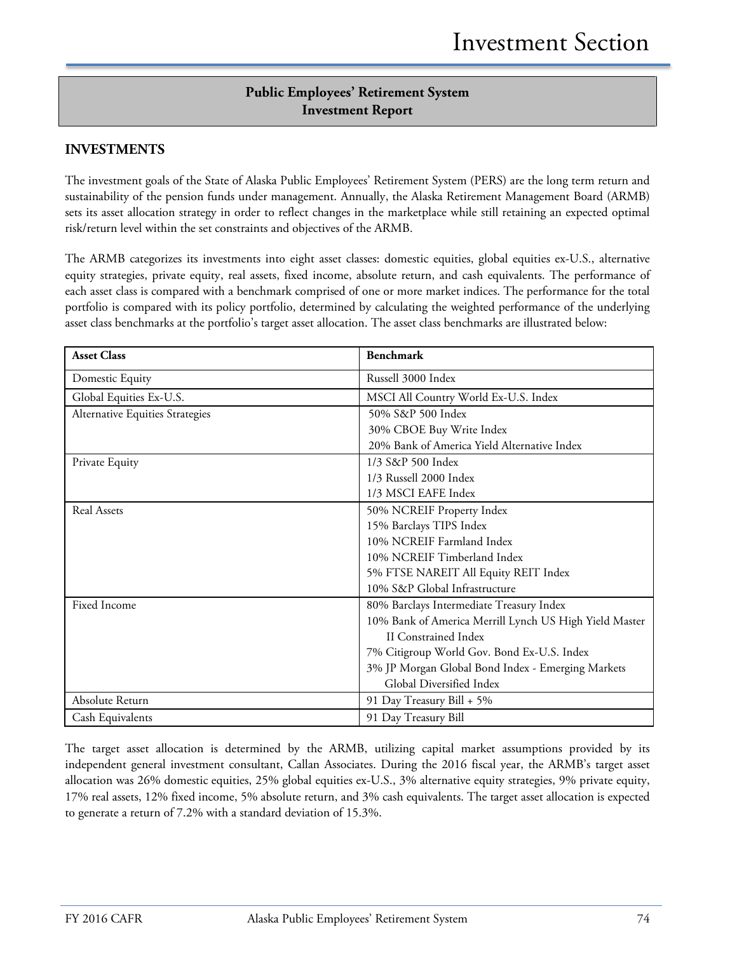# **Public Employees' Retirement System Investment Report**

### **INVESTMENTS**

The investment goals of the State of Alaska Public Employees' Retirement System (PERS) are the long term return and sustainability of the pension funds under management. Annually, the Alaska Retirement Management Board (ARMB) sets its asset allocation strategy in order to reflect changes in the marketplace while still retaining an expected optimal risk/return level within the set constraints and objectives of the ARMB.

The ARMB categorizes its investments into eight asset classes: domestic equities, global equities ex-U.S., alternative equity strategies, private equity, real assets, fixed income, absolute return, and cash equivalents. The performance of each asset class is compared with a benchmark comprised of one or more market indices. The performance for the total portfolio is compared with its policy portfolio, determined by calculating the weighted performance of the underlying asset class benchmarks at the portfolio's target asset allocation. The asset class benchmarks are illustrated below:

| <b>Asset Class</b>              | <b>Benchmark</b>                                       |
|---------------------------------|--------------------------------------------------------|
| Domestic Equity                 | Russell 3000 Index                                     |
| Global Equities Ex-U.S.         | MSCI All Country World Ex-U.S. Index                   |
| Alternative Equities Strategies | 50% S&P 500 Index                                      |
|                                 | 30% CBOE Buy Write Index                               |
|                                 | 20% Bank of America Yield Alternative Index            |
| Private Equity                  | 1/3 S&P 500 Index                                      |
|                                 | 1/3 Russell 2000 Index                                 |
|                                 | 1/3 MSCI EAFE Index                                    |
| <b>Real Assets</b>              | 50% NCREIF Property Index                              |
|                                 | 15% Barclays TIPS Index                                |
|                                 | 10% NCREIF Farmland Index                              |
|                                 | 10% NCREIF Timberland Index                            |
|                                 | 5% FTSE NAREIT All Equity REIT Index                   |
|                                 | 10% S&P Global Infrastructure                          |
| <b>Fixed Income</b>             | 80% Barclays Intermediate Treasury Index               |
|                                 | 10% Bank of America Merrill Lynch US High Yield Master |
|                                 | <b>II</b> Constrained Index                            |
|                                 | 7% Citigroup World Gov. Bond Ex-U.S. Index             |
|                                 | 3% JP Morgan Global Bond Index - Emerging Markets      |
|                                 | Global Diversified Index                               |
| Absolute Return                 | 91 Day Treasury Bill + 5%                              |
| Cash Equivalents                | 91 Day Treasury Bill                                   |

The target asset allocation is determined by the ARMB, utilizing capital market assumptions provided by its independent general investment consultant, Callan Associates. During the 2016 fiscal year, the ARMB's target asset allocation was 26% domestic equities, 25% global equities ex-U.S., 3% alternative equity strategies, 9% private equity, 17% real assets, 12% fixed income, 5% absolute return, and 3% cash equivalents. The target asset allocation is expected to generate a return of 7.2% with a standard deviation of 15.3%.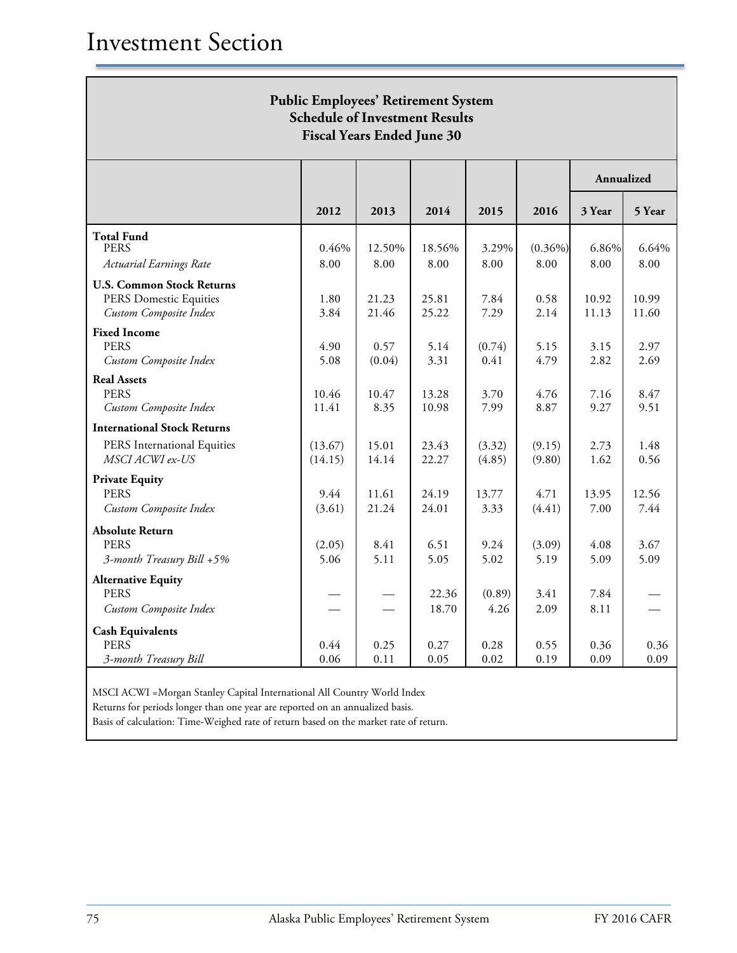| <b>Public Employees' Retirement System</b><br><b>Schedule of Investment Results</b><br><b>Fiscal Years Ended June 30</b> |                    |                |                |                  |                    |                |                  |
|--------------------------------------------------------------------------------------------------------------------------|--------------------|----------------|----------------|------------------|--------------------|----------------|------------------|
|                                                                                                                          |                    |                |                |                  |                    | Annualized     |                  |
|                                                                                                                          | 2012               | 2013           | 2014           | 2015             | 2016               | 3 Year         | 5 Year           |
| <b>Total Fund</b><br><b>PERS</b><br>Actuarial Earnings Rate                                                              | 0.46%<br>8.00      | 12.50%<br>8.00 | 18.56%<br>8.00 | 3.29%<br>8.00    | $(0.36\%)$<br>8.00 | 6.86%<br>8.00  | $6.64\%$<br>8.00 |
| <b>U.S. Common Stock Returns</b><br><b>PERS Domestic Equities</b><br>Custom Composite Index                              | 1.80<br>3.84       | 21.23<br>21.46 | 25.81<br>25.22 | 7.84<br>7.29     | 0.58<br>2.14       | 10.92<br>11.13 | 10.99<br>11.60   |
| <b>Fixed Income</b><br><b>PERS</b><br>Custom Composite Index                                                             | 4.90<br>5.08       | 0.57<br>(0.04) | 5.14<br>3.31   | (0.74)<br>0.41   | 5.15<br>4.79       | 3.15<br>2.82   | 2.97<br>2.69     |
| <b>Real Assets</b><br><b>PERS</b><br>Custom Composite Index                                                              | 10.46<br>11.41     | 10.47<br>8.35  | 13.28<br>10.98 | 3.70<br>7.99     | 4.76<br>8.87       | 7.16<br>9.27   | 8.47<br>9.51     |
| <b>International Stock Returns</b><br>PERS International Equities<br>MSCI ACWI ex-US                                     | (13.67)<br>(14.15) | 15.01<br>14.14 | 23.43<br>22.27 | (3.32)<br>(4.85) | (9.15)<br>(9.80)   | 2.73<br>1.62   | 1.48<br>0.56     |
| <b>Private Equity</b><br><b>PERS</b><br>Custom Composite Index                                                           | 9.44<br>(3.61)     | 11.61<br>21.24 | 24.19<br>24.01 | 13.77<br>3.33    | 4.71<br>(4.41)     | 13.95<br>7.00  | 12.56<br>7.44    |
| <b>Absolute Return</b><br><b>PERS</b><br>3-month Treasury Bill +5%                                                       | (2.05)<br>5.06     | 8.41<br>5.11   | 6.51<br>5.05   | 9.24<br>5.02     | (3.09)<br>5.19     | 4.08<br>5.09   | 3.67<br>5.09     |
| <b>Alternative Equity</b><br><b>PERS</b><br>Custom Composite Index                                                       |                    |                | 22.36<br>18.70 | (0.89)<br>4.26   | 3.41<br>2.09       | 7.84<br>8.11   |                  |
| <b>Cash Equivalents</b><br><b>PERS</b><br>3-month Treasury Bill                                                          | 0.44<br>0.06       | 0.25<br>0.11   | 0.27<br>0.05   | 0.28<br>0.02     | 0.55<br>0.19       | 0.36<br>0.09   | 0.36<br>0.09     |

MSCI ACWI =Morgan Stanley Capital International All Country World Index

Returns for periods longer than one year are reported on an annualized basis.

Basis of calculation: Time-Weighed rate of return based on the market rate of return.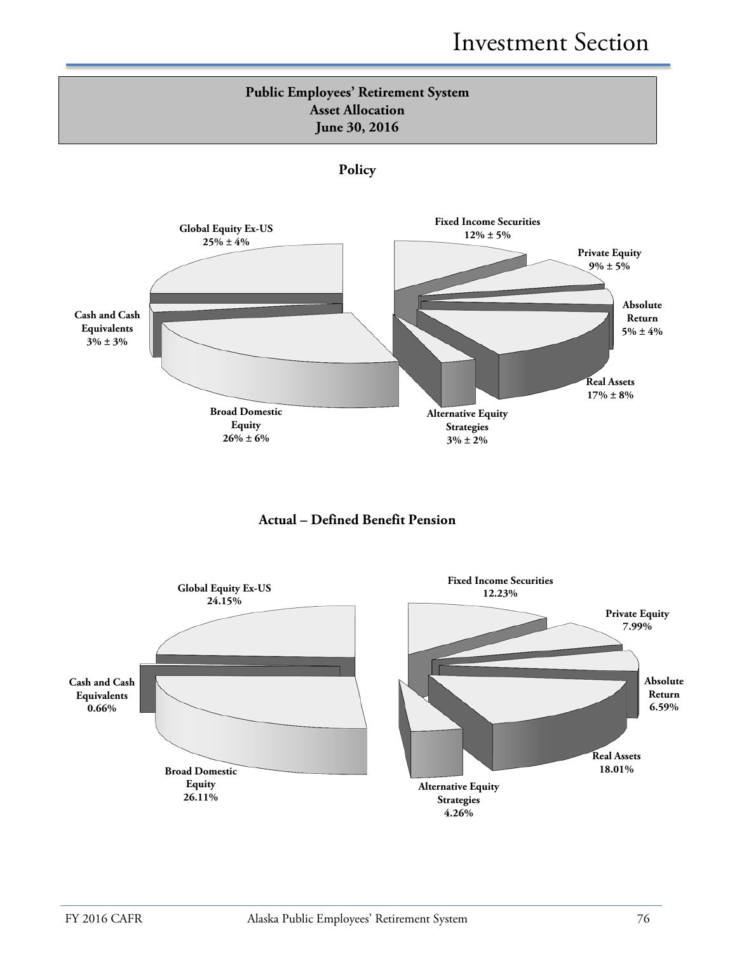# **Public Employees' Retirement System Asset Allocation June 30, 2016**







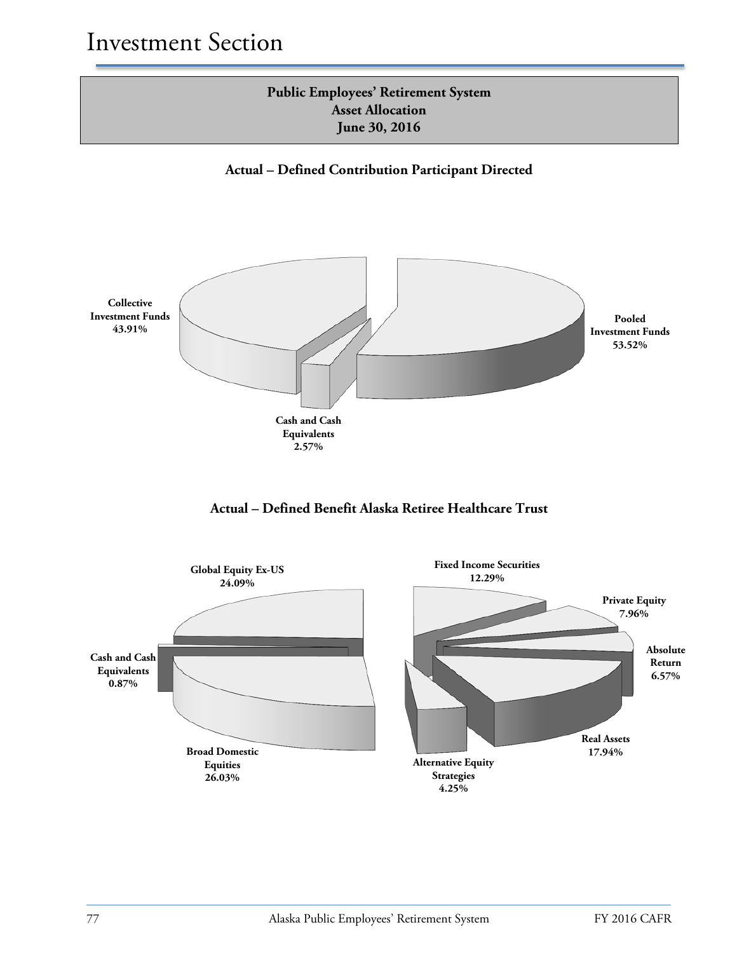# **Public Employees' Retirement System Asset Allocation June 30, 2016**





**Actual – Defined Benefit Alaska Retiree Healthcare Trust**

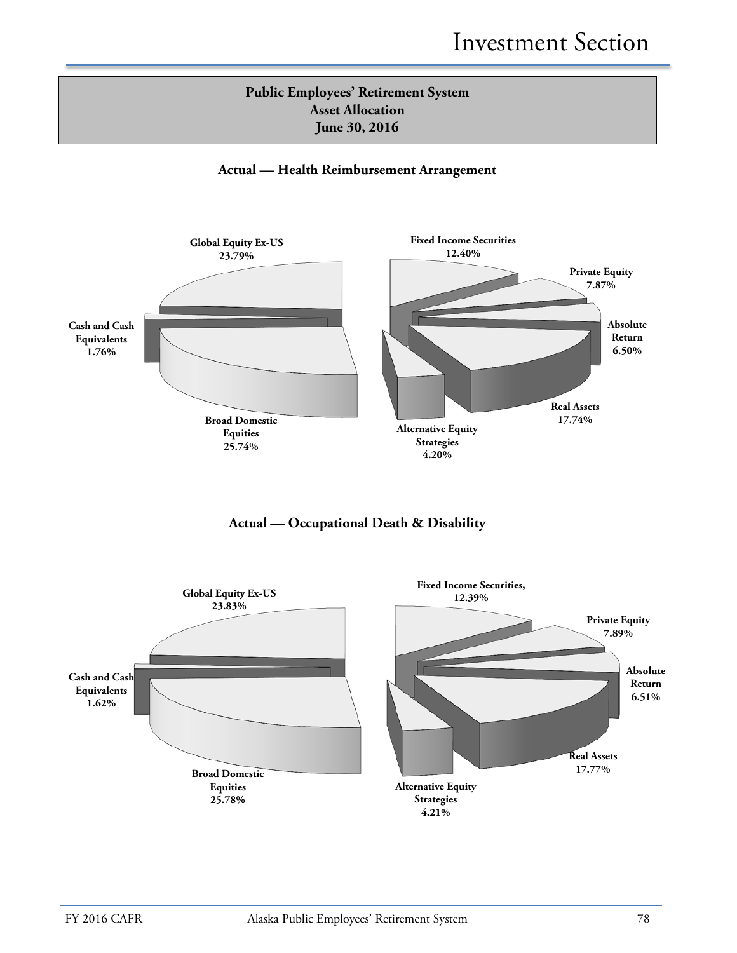

#### **Actual — Health Reimbursement Arrangement**





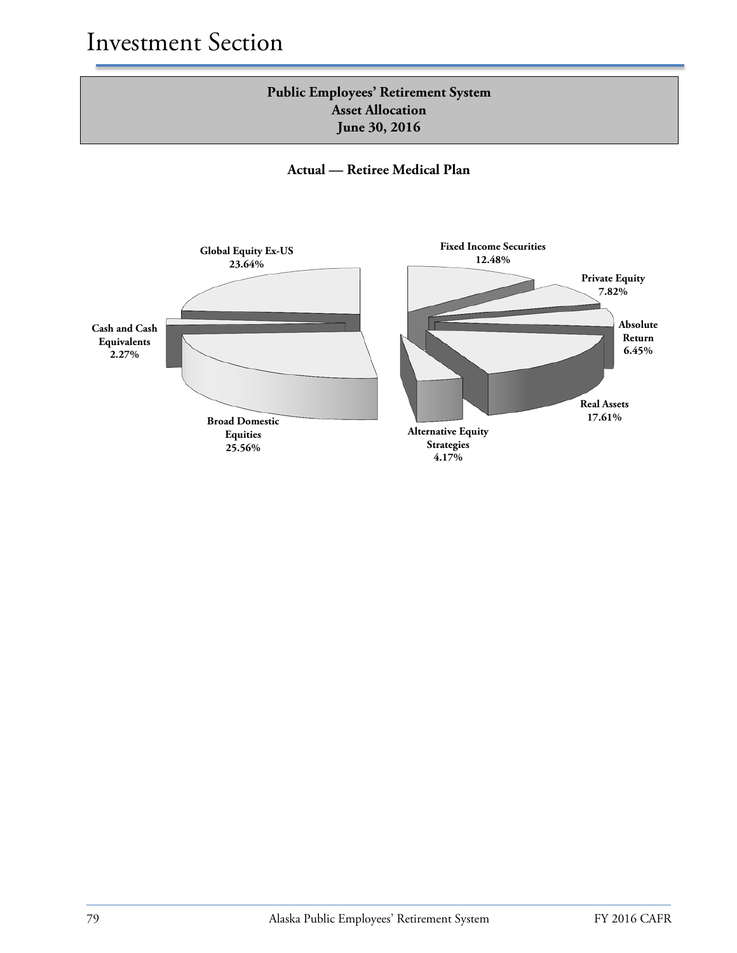# **Public Employees' Retirement System Asset Allocation June 30, 2016**

**Actual — Retiree Medical Plan**

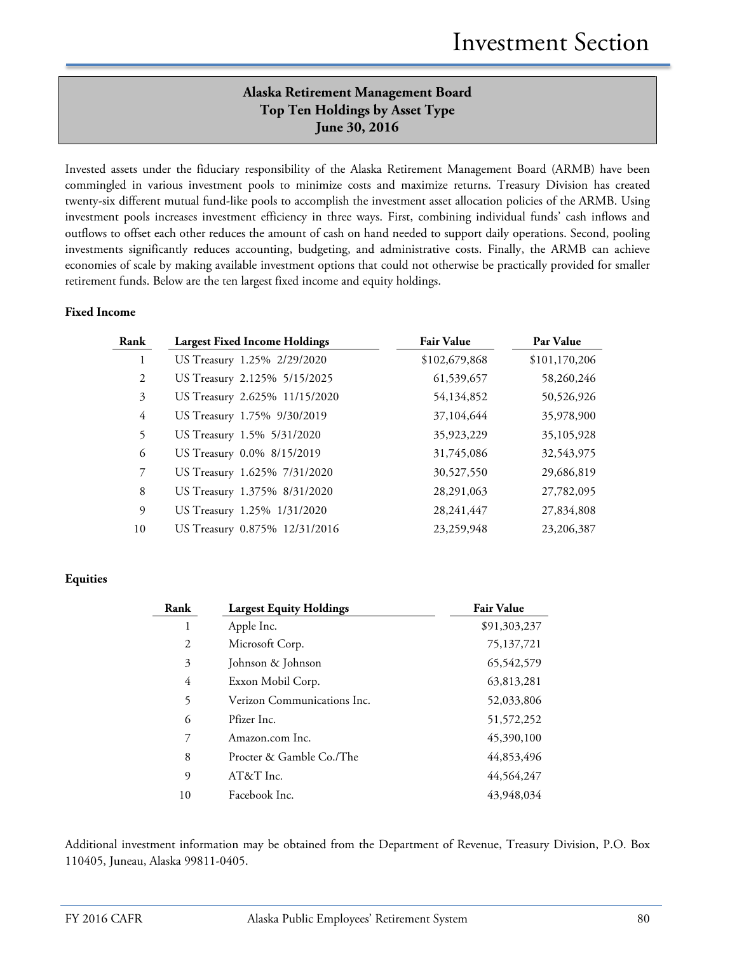# **Alaska Retirement Management Board Top Ten Holdings by Asset Type June 30, 2016**

Invested assets under the fiduciary responsibility of the Alaska Retirement Management Board (ARMB) have been commingled in various investment pools to minimize costs and maximize returns. Treasury Division has created twenty-six different mutual fund-like pools to accomplish the investment asset allocation policies of the ARMB. Using investment pools increases investment efficiency in three ways. First, combining individual funds' cash inflows and outflows to offset each other reduces the amount of cash on hand needed to support daily operations. Second, pooling investments significantly reduces accounting, budgeting, and administrative costs. Finally, the ARMB can achieve economies of scale by making available investment options that could not otherwise be practically provided for smaller retirement funds. Below are the ten largest fixed income and equity holdings.

#### **Fixed Income**

| Rank           | <b>Largest Fixed Income Holdings</b> | <b>Fair Value</b> | Par Value     |
|----------------|--------------------------------------|-------------------|---------------|
|                | US Treasury 1.25% 2/29/2020          | \$102,679,868     | \$101,170,206 |
| 2              | US Treasury 2.125% 5/15/2025         | 61,539,657        | 58,260,246    |
| 3              | US Treasury 2.625% 11/15/2020        | 54,134,852        | 50,526,926    |
| $\overline{4}$ | US Treasury 1.75% 9/30/2019          | 37,104,644        | 35,978,900    |
| 5              | US Treasury 1.5% 5/31/2020           | 35,923,229        | 35,105,928    |
| 6              | US Treasury 0.0% 8/15/2019           | 31,745,086        | 32,543,975    |
| 7              | US Treasury 1.625% 7/31/2020         | 30,527,550        | 29,686,819    |
| 8              | US Treasury 1.375% 8/31/2020         | 28,291,063        | 27,782,095    |
| 9              | US Treasury 1.25% 1/31/2020          | 28,241,447        | 27,834,808    |
| 10             | US Treasury 0.875% 12/31/2016        | 23,259,948        | 23,206,387    |

#### **Equities**

| Rank | <b>Largest Equity Holdings</b> | <b>Fair Value</b> |
|------|--------------------------------|-------------------|
| 1    | Apple Inc.                     | \$91,303,237      |
| 2    | Microsoft Corp.                | 75,137,721        |
| 3    | Johnson & Johnson              | 65,542,579        |
| 4    | Exxon Mobil Corp.              | 63,813,281        |
| 5    | Verizon Communications Inc.    | 52,033,806        |
| 6    | Pfizer Inc.                    | 51, 572, 252      |
| 7    | Amazon.com Inc.                | 45,390,100        |
| 8    | Procter & Gamble Co./The       | 44,853,496        |
| 9    | $AT&T$ Inc.                    | 44,564,247        |
| 10   | Facebook Inc.                  | 43,948,034        |

Additional investment information may be obtained from the Department of Revenue, Treasury Division, P.O. Box 110405, Juneau, Alaska 99811-0405.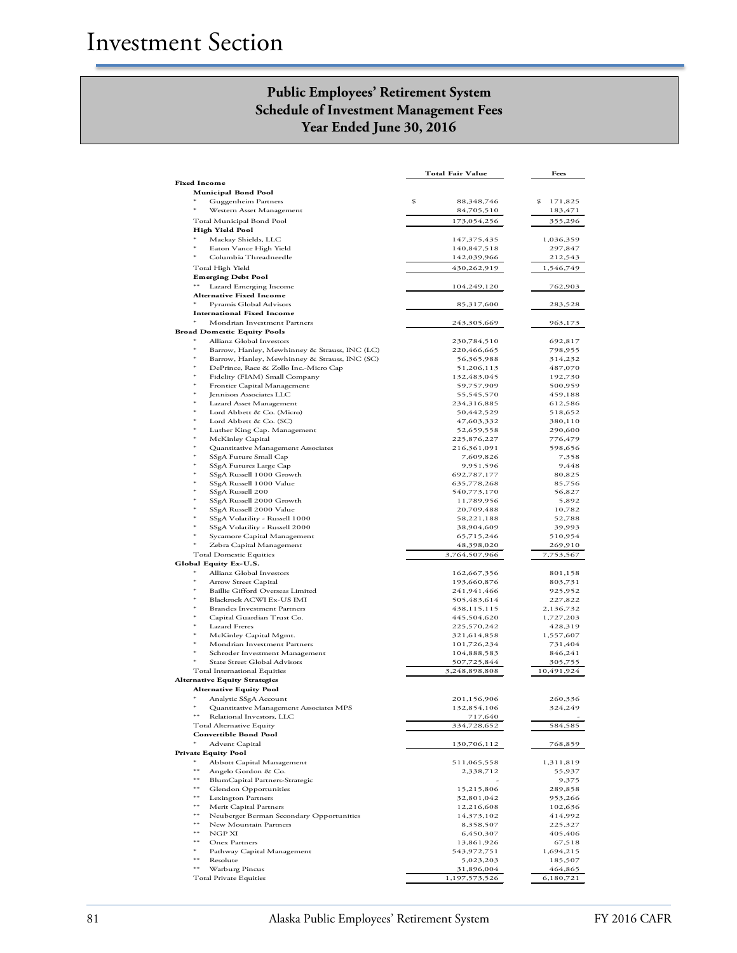# **Public Employees' Retirement System Schedule of Investment Management Fees Year Ended June 30, 2016**

|                                                                            | Total Fair Value            | Fees                 |
|----------------------------------------------------------------------------|-----------------------------|----------------------|
| <b>Fixed Income</b>                                                        |                             |                      |
| <b>Municipal Bond Pool</b>                                                 | \$<br>88,348,746            | \$<br>171,825        |
| Guggenheim Partners<br>Western Asset Management                            | 84,705,510                  | 183,471              |
| Total Municipal Bond Pool                                                  | 173,054,256                 | 355,296              |
| High Yield Pool                                                            |                             |                      |
| Mackay Shields, LLC                                                        | 147,375,435                 | 1,036,359            |
| Eaton Vance High Yield<br>Columbia Threadneedle                            | 140,847,518<br>142,039,966  | 297,847              |
| Total High Yield                                                           | 430,262,919                 | 212,543<br>1,546,749 |
| <b>Emerging Debt Pool</b>                                                  |                             |                      |
| Lazard Emerging Income                                                     | 104,249,120                 | 762,903              |
| <b>Alternative Fixed Income</b>                                            |                             |                      |
| Pyramis Global Advisors                                                    | 85,317,600                  | 283,528              |
| <b>International Fixed Income</b><br>Mondrian Investment Partners          | 243,305,669                 |                      |
| Broad Domestic Equity Pools                                                |                             | 963,173              |
| Allianz Global Investors                                                   | 230,784,510                 | 692,817              |
| Barrow, Hanley, Mewhinney & Strauss, INC (LC)                              | 220,466,665                 | 798,955              |
| Barrow, Hanley, Mewhinney & Strauss, INC (SC)                              | 56,365,988                  | 314,232              |
| DePrince, Race & Zollo Inc.-Micro Cap<br>Fidelity (FIAM) Small Company     | 51,206,113<br>132,483,045   | 487,070<br>192,730   |
| Frontier Capital Management                                                | 59,757,909                  | 500,959              |
| Jennison Associates LLC                                                    | 55,545,570                  | 459,188              |
| Lazard Asset Management                                                    | 234,316,885                 | 612,586              |
| Lord Abbett & Co. (Micro)                                                  | 50,442,529                  | 518,652              |
| Lord Abbett & Co. (SC)<br>Luther King Cap. Management                      | 47,603,332<br>52,659,558    | 380,110              |
| McKinley Capital                                                           | 225,876,227                 | 290,600<br>776,479   |
| Quantitative Management Associates                                         | 216,361,091                 | 598,656              |
| SSgA Future Small Cap                                                      | 7,609,826                   | 7,358                |
| SSgA Futures Large Cap                                                     | 9,951,596                   | 9,448                |
| SSgA Russell 1000 Growth                                                   | 692,787,177                 | 80,825               |
| SSgA Russell 1000 Value<br>SSgA Russell 200                                | 635,778,268<br>540,773,170  | 85,756<br>56,827     |
| SSgA Russell 2000 Growth                                                   | 11,789,956                  | 5,892                |
| SSgA Russell 2000 Value                                                    | 20,709,488                  | 10,782               |
| SSgA Volatility - Russell 1000                                             | 58,221,188                  | 52,788               |
| SSgA Volatility - Russell 2000                                             | 38,904,609                  | 39,993               |
| Sycamore Capital Management<br>*<br>Zebra Capital Management               | 65,715,246<br>48,398,020    | 510,954<br>269,910   |
| <b>Total Domestic Equities</b>                                             | 3,764,507,966               | 7,753,567            |
| Global Equity Ex-U.S.                                                      |                             |                      |
| Allianz Global Investors                                                   | 162,667,356                 | 801,158              |
| Arrow Street Capital<br><b>Baillie Gifford Overseas Limited</b>            | 193,660,876                 | 803,731              |
| Blackrock ACWI Ex-US IMI                                                   | 241,941,466<br>505,483,614  | 925,952<br>227,822   |
| <b>Brandes Investment Partners</b>                                         | 438,115,115                 | 2,136,732            |
| Capital Guardian Trust Co.                                                 | 445,504,620                 | 1,727,203            |
| Lazard Freres                                                              | 225,570,242                 | 428,319              |
| McKinley Capital Mgmt.<br>Mondrian Investment Partners                     | 321,614,858<br>101,726,234  | 1,557,607<br>731,404 |
| Schroder Investment Management                                             | 104,888,583                 | 846,241              |
| State Street Global Advisors                                               | 507,725,844                 | 305,755              |
| Total International Equities                                               | 3,248,898,808               | 10,491,924           |
| <b>Alternative Equity Strategies</b>                                       |                             |                      |
| <b>Alternative Equity Pool</b>                                             |                             | 260,336              |
| Analytic SSgA Account<br>*<br>Quantitative Management Associates MPS       | 201,156,906<br>132,854,106  | 324,249              |
| $***$<br>Relational Investors, LLC                                         | 717,640                     |                      |
| <b>Total Alternative Equity</b>                                            | 334,728,652                 | 584,585              |
| <b>Convertible Bond Pool</b>                                               |                             |                      |
| *<br><b>Advent Capital</b>                                                 | 130,706,112                 | 768,859              |
| <b>Private Equity Pool</b><br>*<br>Abbott Capital Management               | 511,065,558                 | 1,311,819            |
| **<br>Angelo Gordon & Co.                                                  | 2,338,712                   | 55,937               |
| $***$<br>BlumCapital Partners-Strategic                                    |                             | 9,375                |
| $***$<br>Glendon Opportunities                                             | 15,215,806                  | 289,858              |
| **<br><b>Lexington Partners</b>                                            | 32,801,042                  | 953,266              |
| **<br>Merit Capital Partners<br>$***$                                      | 12,216,608                  | 102,636              |
| Neuberger Berman Secondary Opportunities<br>$***$<br>New Mountain Partners | 14,373,102<br>8,358,507     | 414,992<br>225,327   |
| $***$<br>NGP XI                                                            | 6,450,307                   | 405,406              |
| **<br>Onex Partners                                                        | 13,861,926                  | 67,518               |
| Pathway Capital Management                                                 | 543,972,751                 | 1,694,215            |
| **<br>Resolute                                                             | 5,023,203                   | 185,507              |
| $***$<br>Warburg Pincus<br><b>Total Private Equities</b>                   | 31,896,004<br>1,197,573,526 | 464,865<br>6,180,721 |
|                                                                            |                             |                      |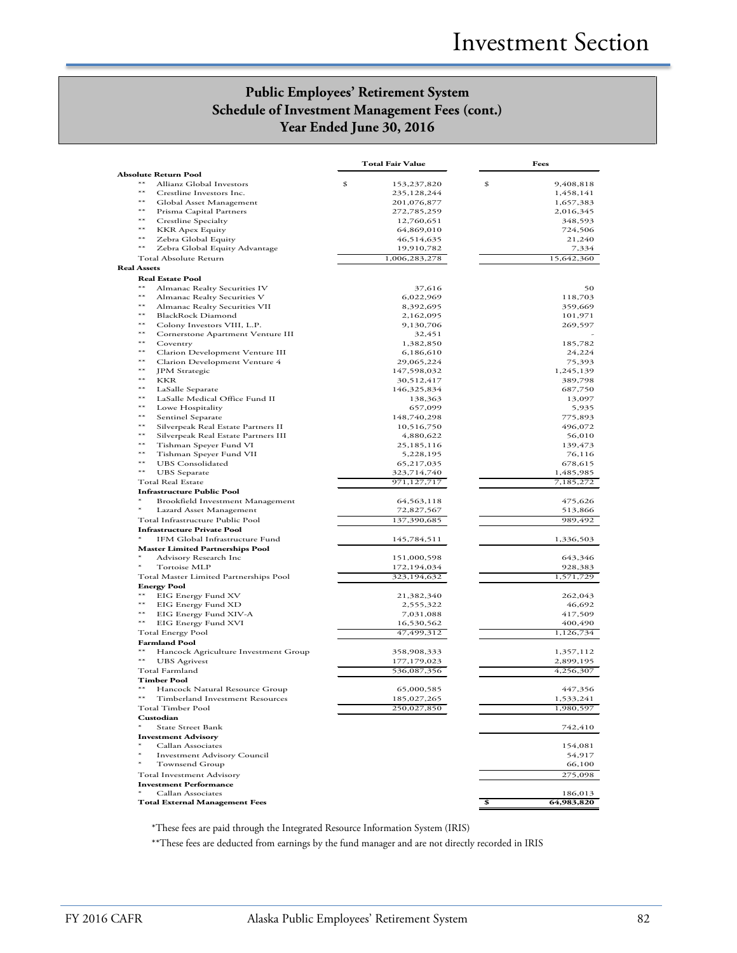# **Public Employees' Retirement System Schedule of Investment Management Fees (cont.) Year Ended June 30, 2016**

|                                                                        | Total Fair Value            | Fees                |
|------------------------------------------------------------------------|-----------------------------|---------------------|
| <b>Absolute Return Pool</b>                                            |                             |                     |
| $**$<br>Allianz Global Investors<br>$^{**}$                            | \$<br>153,237,820           | \$<br>9,408,818     |
| Crestline Investors Inc.<br>$**$                                       | 235,128,244                 | 1,458,141           |
| Global Asset Management<br>$***$                                       | 201,076,877                 | 1,657,383           |
| Prisma Capital Partners<br>$**$                                        | 272,785,259                 | 2,016,345           |
| Crestline Specialty<br>$***$                                           | 12,760,651                  | 348,593             |
| KKR Apex Equity<br>$**$                                                | 64,869,010<br>46,514,635    | 724,506             |
| Zebra Global Equity<br>$**$                                            |                             | 21,240              |
| Zebra Global Equity Advantage<br>Total Absolute Return                 | 19,910,782<br>1,006,283,278 | 7,334<br>15,642,360 |
| <b>Real Assets</b>                                                     |                             |                     |
| <b>Real Estate Pool</b>                                                |                             |                     |
| $**$<br>Almanac Realty Securities IV                                   | 37,616                      | 50                  |
| $**$<br>Almanac Realty Securities V                                    | 6,022,969                   | 118,703             |
| $^{**}$<br>Almanac Realty Securities VII                               | 8,392,695                   | 359,669             |
| $**$<br><b>BlackRock Diamond</b>                                       | 2,162,095                   | 101,971             |
| $**$<br>Colony Investors VIII, L.P.                                    | 9,130,706                   | 269,597             |
| $**$<br>Cornerstone Apartment Venture III                              | 32,451                      |                     |
| $**$<br>Coventry                                                       | 1,382,850                   | 185,782             |
| $**$<br>Clarion Development Venture III                                | 6,186,610                   | 24,224              |
| $**$<br>Clarion Development Venture 4                                  | 29,065,224                  | 75,393              |
| $**$<br>JPM Strategic                                                  | 147,598,032                 | 1,245,139           |
| $**$<br><b>KKR</b>                                                     | 30,512,417                  | 389,798             |
| $**$<br>LaSalle Separate                                               | 146,325,834                 | 687,750             |
| $**$<br>LaSalle Medical Office Fund II                                 | 138,363                     | 13,097              |
| $**$<br>Lowe Hospitality                                               | 657,099                     | 5,935               |
| $**$<br>Sentinel Separate                                              | 148,740,298                 | 775,893             |
| $**$<br>Silverpeak Real Estate Partners II                             | 10,516,750                  | 496,072             |
| $**$                                                                   |                             |                     |
| Silverpeak Real Estate Partners III<br>$**$<br>Tishman Speyer Fund VI  | 4,880,622                   | 56,010<br>139,473   |
| $**$                                                                   | 25,185,116                  |                     |
| Tishman Speyer Fund VII<br>$**$                                        | 5,228,195                   | 76,116              |
| <b>UBS</b> Consolidated<br>$**$                                        | 65,217,035                  | 678,615             |
| <b>UBS</b> Separate                                                    | 323,714,740                 | 1,485,985           |
| <b>Total Real Estate</b>                                               | 971,127,717                 | 7,185,272           |
| <b>Infrastructure Public Pool</b>                                      |                             |                     |
| Brookfield Investment Management                                       | 64,563,118                  | 475,626             |
| Lazard Asset Management                                                | 72,827,567                  | 513,866             |
| Total Infrastructure Public Pool<br><b>Infrastructure Private Pool</b> | 137,390,685                 | 989,492             |
| IFM Global Infrastructure Fund                                         |                             |                     |
|                                                                        | 145,784,511                 | 1,336,503           |
| <b>Master Limited Partnerships Pool</b>                                |                             |                     |
| Advisory Research Inc                                                  | 151,000,598                 | 643,346             |
| Tortoise MLP                                                           | 172,194,034                 | 928,383             |
| Total Master Limited Partnerships Pool<br><b>Energy Pool</b>           | 323,194,632                 | 1,571,729           |
| $**$<br>EIG Energy Fund XV                                             | 21,382,340                  | 262,043             |
| $**$<br>EIG Energy Fund XD                                             | 2,555,322                   | 46,692              |
| $**$<br>EIG Energy Fund XIV-A                                          | 7,031,088                   | 417,509             |
| $**$<br>EIG Energy Fund XVI                                            | 16,530,562                  | 400,490             |
| Total Energy Pool                                                      | 47,499,312                  | 1,126,734           |
| <b>Farmland Pool</b>                                                   |                             |                     |
| $**$<br>Hancock Agriculture Investment Group                           | 358,908,333                 | 1,357,112           |
| $**$<br><b>UBS</b> Agrivest                                            | 177, 179, 023               | 2,899,195           |
| Total Farmland                                                         | 536,087,356                 | 4,256,307           |
| <b>Timber Pool</b>                                                     |                             |                     |
| Hancock Natural Resource Group                                         | 65,000,585                  | 447,356             |
| $**$                                                                   |                             |                     |
| Timberland Investment Resources                                        | 185,027,265                 | 1,533,241           |
| Total Timber Pool<br>Custodian                                         | 250,027,850                 | 1,980,597           |
| State Street Bank                                                      |                             | 742,410             |
| <b>Investment Advisory</b>                                             |                             |                     |
| Callan Associates                                                      |                             |                     |
| $\ast$                                                                 |                             | 154,081             |
| <b>Investment Advisory Council</b><br>$\ast$                           |                             | 54,917              |
| Townsend Group                                                         |                             | 66,100              |
| <b>Total Investment Advisory</b>                                       |                             | 275,098             |
| <b>Investment Performance</b>                                          |                             |                     |
| *<br>Callan Associates                                                 |                             | 186,013             |
| <b>Total External Management Fees</b>                                  |                             | 64,983,820<br>\$    |

\*These fees are paid through the Integrated Resource Information System (IRIS)

\*\*These fees are deducted from earnings by the fund manager and are not directly recorded in IRIS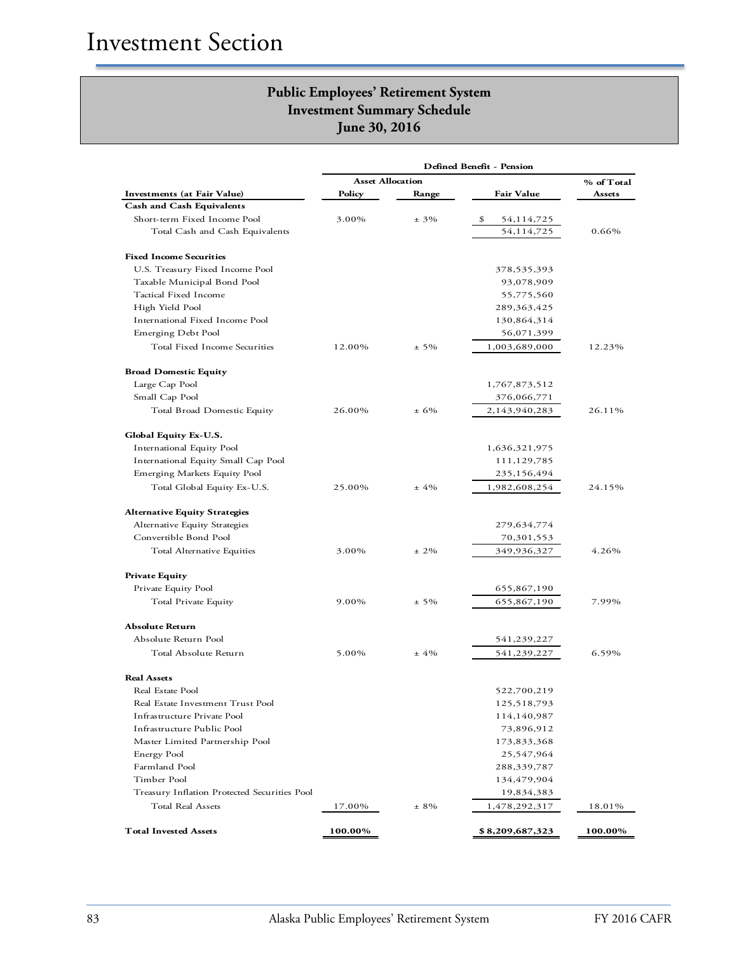|                                              | <b>Asset Allocation</b> |          |                   | % of Total |
|----------------------------------------------|-------------------------|----------|-------------------|------------|
| <b>Investments</b> (at Fair Value)           | Policy                  | Range    | <b>Fair Value</b> | Assets     |
| <b>Cash and Cash Equivalents</b>             |                         |          |                   |            |
| Short-term Fixed Income Pool                 | 3.00%                   | $± 3\%$  | \$<br>54,114,725  |            |
| Total Cash and Cash Equivalents              |                         |          | 54,114,725        | 0.66%      |
| <b>Fixed Income Securities</b>               |                         |          |                   |            |
| U.S. Treasury Fixed Income Pool              |                         |          | 378,535,393       |            |
| Taxable Municipal Bond Pool                  |                         |          | 93,078,909        |            |
| Tactical Fixed Income                        |                         |          | 55,775,560        |            |
| High Yield Pool                              |                         |          | 289,363,425       |            |
| International Fixed Income Pool              |                         |          | 130,864,314       |            |
| Emerging Debt Pool                           |                         |          | 56,071,399        |            |
| Total Fixed Income Securities                | 12.00%                  | $± 5\%$  | 1,003,689,000     | 12.23%     |
| <b>Broad Domestic Equity</b>                 |                         |          |                   |            |
| Large Cap Pool                               |                         |          | 1,767,873,512     |            |
| Small Cap Pool                               |                         |          | 376,066,771       |            |
| Total Broad Domestic Equity                  | 26.00%                  | ± 6%     | 2,143,940,283     | 26.11%     |
| Global Equity Ex-U.S.                        |                         |          |                   |            |
| International Equity Pool                    |                         |          | 1,636,321,975     |            |
| International Equity Small Cap Pool          |                         |          | 111,129,785       |            |
| Emerging Markets Equity Pool                 |                         |          | 235,156,494       |            |
| Total Global Equity Ex-U.S.                  | 25.00%                  | $±4\%$   | 1,982,608,254     | 24.15%     |
| <b>Alternative Equity Strategies</b>         |                         |          |                   |            |
| Alternative Equity Strategies                |                         |          | 279,634,774       |            |
| Convertible Bond Pool                        |                         |          | 70,301,553        |            |
| Total Alternative Equities                   | 3.00%                   | $± 2\%$  | 349,936,327       | 4.26%      |
| <b>Private Equity</b>                        |                         |          |                   |            |
| Private Equity Pool                          |                         |          | 655,867,190       |            |
| Total Private Equity                         | 9.00%                   | $\pm$ 5% | 655,867,190       | 7.99%      |
| <b>Absolute Return</b>                       |                         |          |                   |            |
| Absolute Return Pool                         |                         |          | 541,239,227       |            |
| Total Absolute Return                        | 5.00%                   | ±4%      | 541,239,227       | 6.59%      |
| <b>Real Assets</b>                           |                         |          |                   |            |
| Real Estate Pool                             |                         |          | 522,700,219       |            |
| Real Estate Investment Trust Pool            |                         |          | 125,518,793       |            |
| Infrastructure Private Pool                  |                         |          | 114,140,987       |            |
| Infrastructure Public Pool                   |                         |          | 73,896,912        |            |
| Master Limited Partnership Pool              |                         |          | 173,833,368       |            |
| Energy Pool                                  |                         |          | 25,547,964        |            |
| Farmland Pool                                |                         |          | 288,339,787       |            |
| Timber Pool                                  |                         |          | 134,479,904       |            |
| Treasury Inflation Protected Securities Pool |                         |          | 19,834,383        |            |
| Total Real Assets                            | 17.00%                  | $± 8\%$  | 1,478,292,317     | 18.01%     |
| <b>Total Invested Assets</b>                 | 100.00%                 |          | \$8,209,687,323   | 100.00%    |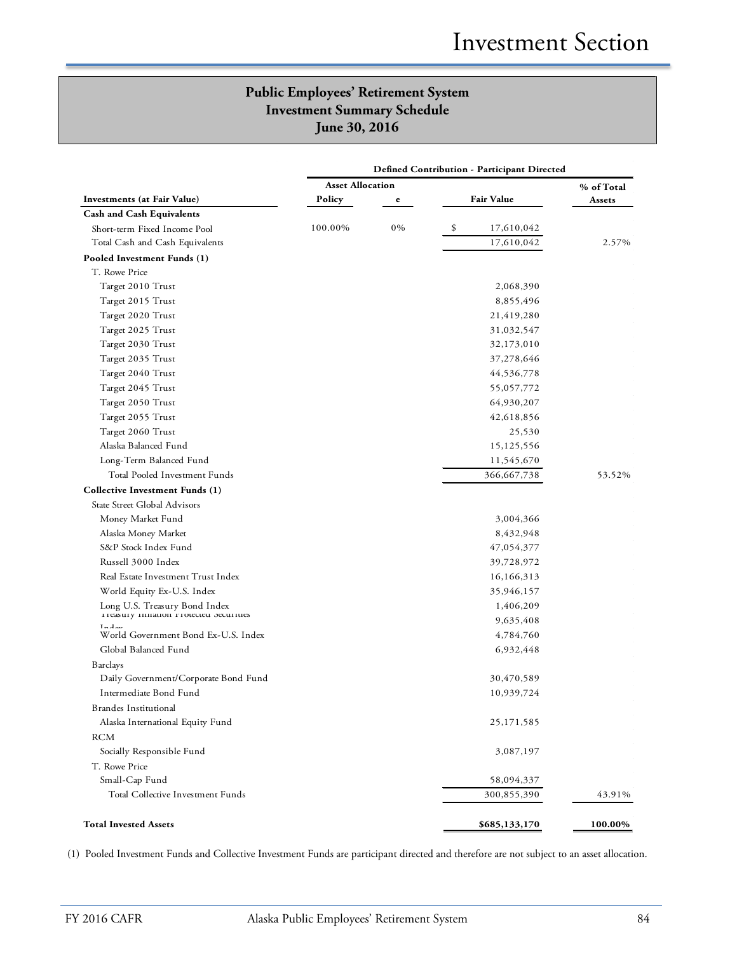|                                                | <b>Defined Contribution - Participant Directed</b> |    |                   |            |  |
|------------------------------------------------|----------------------------------------------------|----|-------------------|------------|--|
|                                                | <b>Asset Allocation</b>                            |    |                   | % of Total |  |
| Investments (at Fair Value)                    | Policy                                             | e  | <b>Fair Value</b> | Assets     |  |
| <b>Cash and Cash Equivalents</b>               |                                                    |    |                   |            |  |
| Short-term Fixed Income Pool                   | 100.00%                                            | 0% | \$<br>17,610,042  |            |  |
| Total Cash and Cash Equivalents                |                                                    |    | 17,610,042        | 2.57%      |  |
| Pooled Investment Funds (1)                    |                                                    |    |                   |            |  |
| T. Rowe Price                                  |                                                    |    |                   |            |  |
| Target 2010 Trust                              |                                                    |    | 2,068,390         |            |  |
| Target 2015 Trust                              |                                                    |    | 8,855,496         |            |  |
| Target 2020 Trust                              |                                                    |    | 21,419,280        |            |  |
| Target 2025 Trust                              |                                                    |    | 31,032,547        |            |  |
| Target 2030 Trust                              |                                                    |    | 32,173,010        |            |  |
| Target 2035 Trust                              |                                                    |    | 37,278,646        |            |  |
| Target 2040 Trust                              |                                                    |    | 44,536,778        |            |  |
| Target 2045 Trust                              |                                                    |    | 55,057,772        |            |  |
| Target 2050 Trust                              |                                                    |    | 64,930,207        |            |  |
| Target 2055 Trust                              |                                                    |    | 42,618,856        |            |  |
| Target 2060 Trust                              |                                                    |    | 25,530            |            |  |
| Alaska Balanced Fund                           |                                                    |    | 15,125,556        |            |  |
| Long-Term Balanced Fund                        |                                                    |    | 11,545,670        |            |  |
| Total Pooled Investment Funds                  |                                                    |    | 366,667,738       | 53.52%     |  |
| Collective Investment Funds (1)                |                                                    |    |                   |            |  |
| State Street Global Advisors                   |                                                    |    |                   |            |  |
| Money Market Fund                              |                                                    |    | 3,004,366         |            |  |
| Alaska Money Market                            |                                                    |    | 8,432,948         |            |  |
| S&P Stock Index Fund                           |                                                    |    | 47,054,377        |            |  |
| Russell 3000 Index                             |                                                    |    | 39,728,972        |            |  |
| Real Estate Investment Trust Index             |                                                    |    | 16,166,313        |            |  |
| World Equity Ex-U.S. Index                     |                                                    |    | 35,946,157        |            |  |
| Long U.S. Treasury Bond Index                  |                                                    |    | 1,406,209         |            |  |
| I reasury innation r rotected securities       |                                                    |    | 9,635,408         |            |  |
| $T = A$<br>World Government Bond Ex-U.S. Index |                                                    |    | 4,784,760         |            |  |
| Global Balanced Fund                           |                                                    |    | 6,932,448         |            |  |
| Barclays                                       |                                                    |    |                   |            |  |
| Daily Government/Corporate Bond Fund           |                                                    |    | 30,470,589        |            |  |
| Intermediate Bond Fund                         |                                                    |    | 10,939,724        |            |  |
| <b>Brandes Institutional</b>                   |                                                    |    |                   |            |  |
| Alaska International Equity Fund               |                                                    |    | 25,171,585        |            |  |
| <b>RCM</b>                                     |                                                    |    |                   |            |  |
| Socially Responsible Fund                      |                                                    |    | 3,087,197         |            |  |
| T. Rowe Price                                  |                                                    |    |                   |            |  |
| Small-Cap Fund                                 |                                                    |    | 58,094,337        |            |  |
| Total Collective Investment Funds              |                                                    |    | 300,855,390       | 43.91%     |  |
|                                                |                                                    |    |                   |            |  |
| <b>Total Invested Assets</b>                   |                                                    |    | \$685,133,170     | 100.00%    |  |

(1) Pooled Investment Funds and Collective Investment Funds are participant directed and therefore are not subject to an asset allocation.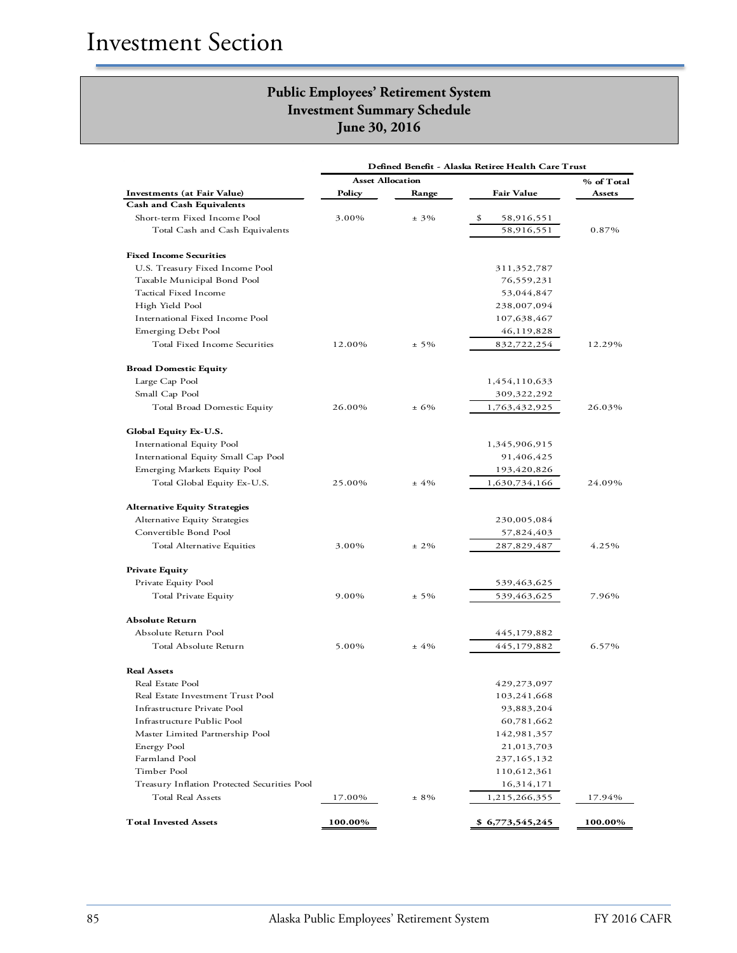|                                              | Defined Benefit - Alaska Retiree Health Care Trust |          |                   |            |
|----------------------------------------------|----------------------------------------------------|----------|-------------------|------------|
|                                              | <b>Asset Allocation</b>                            |          |                   | % of Total |
| Investments (at Fair Value)                  | Policy                                             | Range    | <b>Fair Value</b> | Assets     |
| <b>Cash and Cash Equivalents</b>             |                                                    |          |                   |            |
| Short-term Fixed Income Pool                 | 3.00%                                              | $\pm$ 3% | \$<br>58,916,551  |            |
| Total Cash and Cash Equivalents              |                                                    |          | 58,916,551        | 0.87%      |
| <b>Fixed Income Securities</b>               |                                                    |          |                   |            |
| U.S. Treasury Fixed Income Pool              |                                                    |          | 311,352,787       |            |
| Taxable Municipal Bond Pool                  |                                                    |          | 76,559,231        |            |
| Tactical Fixed Income                        |                                                    |          | 53,044,847        |            |
| High Yield Pool                              |                                                    |          | 238,007,094       |            |
| International Fixed Income Pool              |                                                    |          | 107,638,467       |            |
| Emerging Debt Pool                           |                                                    |          | 46,119,828        |            |
| Total Fixed Income Securities                | 12.00%                                             | $± 5\%$  | 832,722,254       | 12.29%     |
| <b>Broad Domestic Equity</b>                 |                                                    |          |                   |            |
| Large Cap Pool                               |                                                    |          | 1,454,110,633     |            |
| Small Cap Pool                               |                                                    |          | 309,322,292       |            |
| Total Broad Domestic Equity                  | 26.00%                                             | $± 6\%$  | 1,763,432,925     | 26.03%     |
| <b>Global Equity Ex-U.S.</b>                 |                                                    |          |                   |            |
| International Equity Pool                    |                                                    |          | 1,345,906,915     |            |
| International Equity Small Cap Pool          |                                                    |          | 91,406,425        |            |
| Emerging Markets Equity Pool                 |                                                    |          | 193,420,826       |            |
| Total Global Equity Ex-U.S.                  | 25.00%                                             | $±4\%$   | 1,630,734,166     | 24.09%     |
| <b>Alternative Equity Strategies</b>         |                                                    |          |                   |            |
| Alternative Equity Strategies                |                                                    |          | 230,005,084       |            |
| Convertible Bond Pool                        |                                                    |          | 57,824,403        |            |
| Total Alternative Equities                   | 3.00%                                              | $± 2\%$  | 287,829,487       | 4.25%      |
| <b>Private Equity</b>                        |                                                    |          |                   |            |
| Private Equity Pool                          |                                                    |          | 539,463,625       |            |
| Total Private Equity                         | 9.00%                                              | $± 5\%$  | 539,463,625       | 7.96%      |
| <b>Absolute Return</b>                       |                                                    |          |                   |            |
| Absolute Return Pool                         |                                                    |          | 445,179,882       |            |
| Total Absolute Return                        | 5.00%                                              | ±4%      | 445,179,882       | 6.57%      |
| <b>Real Assets</b>                           |                                                    |          |                   |            |
| Real Estate Pool                             |                                                    |          | 429,273,097       |            |
| Real Estate Investment Trust Pool            |                                                    |          | 103,241,668       |            |
| Infrastructure Private Pool                  |                                                    |          | 93,883,204        |            |
| Infrastructure Public Pool                   |                                                    |          | 60,781,662        |            |
| Master Limited Partnership Pool              |                                                    |          | 142,981,357       |            |
| Energy Pool                                  |                                                    |          | 21,013,703        |            |
| Farmland Pool                                |                                                    |          | 237,165,132       |            |
| Timber Pool                                  |                                                    |          | 110,612,361       |            |
| Treasury Inflation Protected Securities Pool |                                                    |          | 16,314,171        |            |
| Total Real Assets                            | 17.00%                                             | $± 8\%$  | 1,215,266,355     | 17.94%     |
| <b>Total Invested Assets</b>                 | 100.00%                                            |          | \$6,773,545,245   | 100.00%    |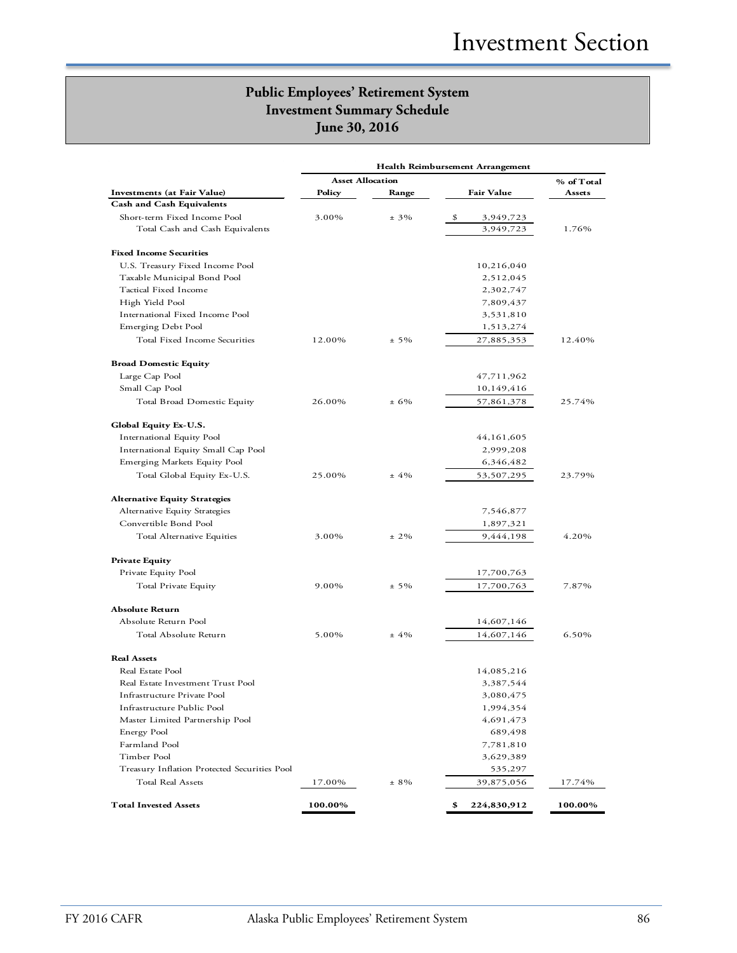|                                              |                         |         | Health Reimbursement Arrangement |         |
|----------------------------------------------|-------------------------|---------|----------------------------------|---------|
|                                              | <b>Asset Allocation</b> |         | % of Total                       |         |
| Investments (at Fair Value)                  | Policy                  | Range   | <b>Fair Value</b>                | Assets  |
| <b>Cash and Cash Equivalents</b>             |                         |         |                                  |         |
| Short-term Fixed Income Pool                 | 3.00%                   | $± 3\%$ | \$<br>3,949,723                  |         |
| Total Cash and Cash Equivalents              |                         |         | 3,949,723                        | 1.76%   |
|                                              |                         |         |                                  |         |
| <b>Fixed Income Securities</b>               |                         |         |                                  |         |
| U.S. Treasury Fixed Income Pool              |                         |         | 10,216,040                       |         |
| Taxable Municipal Bond Pool                  |                         |         | 2,512,045                        |         |
| Tactical Fixed Income                        |                         |         | 2,302,747                        |         |
| High Yield Pool                              |                         |         | 7,809,437                        |         |
| International Fixed Income Pool              |                         |         | 3,531,810                        |         |
| Emerging Debt Pool                           |                         |         | 1,513,274                        |         |
| Total Fixed Income Securities                | 12.00%                  | $± 5\%$ | 27,885,353                       | 12.40%  |
|                                              |                         |         |                                  |         |
| <b>Broad Domestic Equity</b>                 |                         |         |                                  |         |
| Large Cap Pool                               |                         |         | 47,711,962                       |         |
| Small Cap Pool                               |                         |         | 10,149,416                       |         |
| Total Broad Domestic Equity                  | 26.00%                  | ± 6%    | 57,861,378                       | 25.74%  |
|                                              |                         |         |                                  |         |
| Global Equity Ex-U.S.                        |                         |         |                                  |         |
| International Equity Pool                    |                         |         | 44, 161, 605                     |         |
| International Equity Small Cap Pool          |                         |         | 2,999,208                        |         |
| Emerging Markets Equity Pool                 |                         |         | 6,346,482                        |         |
| Total Global Equity Ex-U.S.                  | 25.00%                  | ±4%     | 53,507,295                       | 23.79%  |
|                                              |                         |         |                                  |         |
| <b>Alternative Equity Strategies</b>         |                         |         |                                  |         |
| Alternative Equity Strategies                |                         |         | 7,546,877                        |         |
| Convertible Bond Pool                        |                         |         | 1,897,321                        |         |
| Total Alternative Equities                   | 3.00%                   | $± 2\%$ | 9,444,198                        | 4.20%   |
|                                              |                         |         |                                  |         |
| <b>Private Equity</b>                        |                         |         |                                  |         |
| Private Equity Pool                          |                         |         | 17,700,763                       |         |
| Total Private Equity                         | 9.00%                   | $± 5\%$ | 17,700,763                       | 7.87%   |
|                                              |                         |         |                                  |         |
| <b>Absolute Return</b>                       |                         |         |                                  |         |
| Absolute Return Pool                         |                         |         | 14,607,146                       |         |
| Total Absolute Return                        | 5.00%                   | $±4\%$  | 14,607,146                       | 6.50%   |
|                                              |                         |         |                                  |         |
| <b>Real Assets</b>                           |                         |         |                                  |         |
| Real Estate Pool                             |                         |         | 14,085,216                       |         |
| Real Estate Investment Trust Pool            |                         |         | 3,387,544                        |         |
| Infrastructure Private Pool                  |                         |         | 3,080,475                        |         |
| Infrastructure Public Pool                   |                         |         | 1,994,354                        |         |
| Master Limited Partnership Pool              |                         |         | 4,691,473                        |         |
| Energy Pool                                  |                         |         | 689,498                          |         |
| Farmland Pool                                |                         |         | 7,781,810                        |         |
| Timber Pool                                  |                         |         | 3,629,389                        |         |
| Treasury Inflation Protected Securities Pool |                         |         | 535,297                          |         |
| Total Real Assets                            | 17.00%                  | $± 8\%$ | 39,875,056                       | 17.74%  |
|                                              |                         |         |                                  |         |
| <b>Total Invested Assets</b>                 | 100.00%                 |         | \$<br>224,830,912                | 100.00% |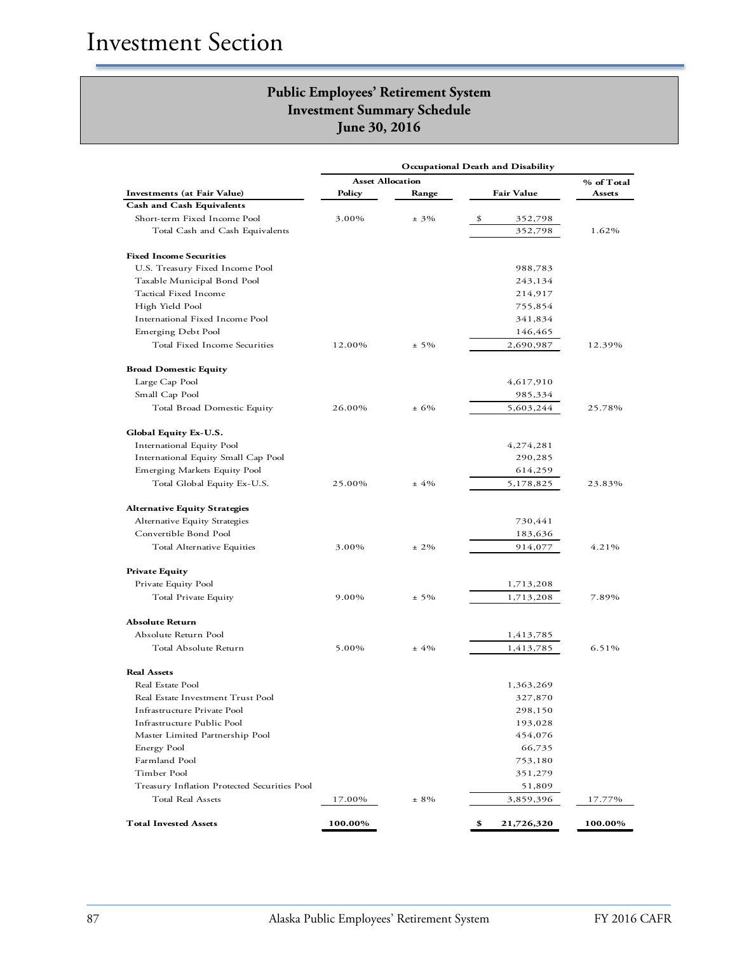|                                              | Occupational Death and Disability<br><b>Asset Allocation</b> |         |                   | % of Total |
|----------------------------------------------|--------------------------------------------------------------|---------|-------------------|------------|
| <b>Investments (at Fair Value)</b>           | Policy                                                       | Range   | <b>Fair Value</b> | Assets     |
| <b>Cash and Cash Equivalents</b>             |                                                              |         |                   |            |
| Short-term Fixed Income Pool                 | 3.00%                                                        | $± 3\%$ | \$<br>352,798     |            |
| Total Cash and Cash Equivalents              |                                                              |         | 352,798           | 1.62%      |
| <b>Fixed Income Securities</b>               |                                                              |         |                   |            |
| U.S. Treasury Fixed Income Pool              |                                                              |         | 988,783           |            |
| Taxable Municipal Bond Pool                  |                                                              |         | 243,134           |            |
| Tactical Fixed Income                        |                                                              |         | 214,917           |            |
| High Yield Pool                              |                                                              |         | 755,854           |            |
| International Fixed Income Pool              |                                                              |         | 341,834           |            |
| Emerging Debt Pool                           |                                                              |         | 146,465           |            |
| Total Fixed Income Securities                | 12.00%                                                       | $± 5\%$ | 2,690,987         | 12.39%     |
| <b>Broad Domestic Equity</b>                 |                                                              |         |                   |            |
| Large Cap Pool                               |                                                              |         | 4,617,910         |            |
| Small Cap Pool                               |                                                              |         | 985,334           |            |
| Total Broad Domestic Equity                  | 26.00%                                                       | $± 6\%$ | 5,603,244         | 25.78%     |
| Global Equity Ex-U.S.                        |                                                              |         |                   |            |
| International Equity Pool                    |                                                              |         | 4,274,281         |            |
| International Equity Small Cap Pool          |                                                              |         | 290,285           |            |
| Emerging Markets Equity Pool                 |                                                              |         | 614,259           |            |
| Total Global Equity Ex-U.S.                  | 25.00%                                                       | $±4\%$  | 5,178,825         | 23.83%     |
| <b>Alternative Equity Strategies</b>         |                                                              |         |                   |            |
| Alternative Equity Strategies                |                                                              |         | 730,441           |            |
| Convertible Bond Pool                        |                                                              |         | 183,636           |            |
| Total Alternative Equities                   | 3.00%                                                        | $± 2\%$ | 914,077           | 4.21%      |
| <b>Private Equity</b>                        |                                                              |         |                   |            |
| Private Equity Pool                          |                                                              |         | 1,713,208         |            |
| Total Private Equity                         | 9.00%                                                        | $± 5\%$ | 1,713,208         | 7.89%      |
| <b>Absolute Return</b>                       |                                                              |         |                   |            |
| Absolute Return Pool                         |                                                              |         | 1,413,785         |            |
| Total Absolute Return                        | 5.00%                                                        | $±4\%$  | 1,413,785         | 6.51%      |
| <b>Real Assets</b>                           |                                                              |         |                   |            |
| Real Estate Pool                             |                                                              |         | 1,363,269         |            |
| Real Estate Investment Trust Pool            |                                                              |         | 327,870           |            |
| Infrastructure Private Pool                  |                                                              |         | 298,150           |            |
| Infrastructure Public Pool                   |                                                              |         | 193,028           |            |
| Master Limited Partnership Pool              |                                                              |         | 454,076           |            |
| Energy Pool                                  |                                                              |         | 66,735            |            |
| Farmland Pool                                |                                                              |         | 753,180           |            |
| Timber Pool                                  |                                                              |         | 351,279           |            |
| Treasury Inflation Protected Securities Pool |                                                              |         | 51,809            |            |
| Total Real Assets                            | 17.00%                                                       | $± 8\%$ | 3,859,396         | 17.77%     |
| <b>Total Invested Assets</b>                 | 100.00%                                                      |         | \$<br>21,726,320  | 100.00%    |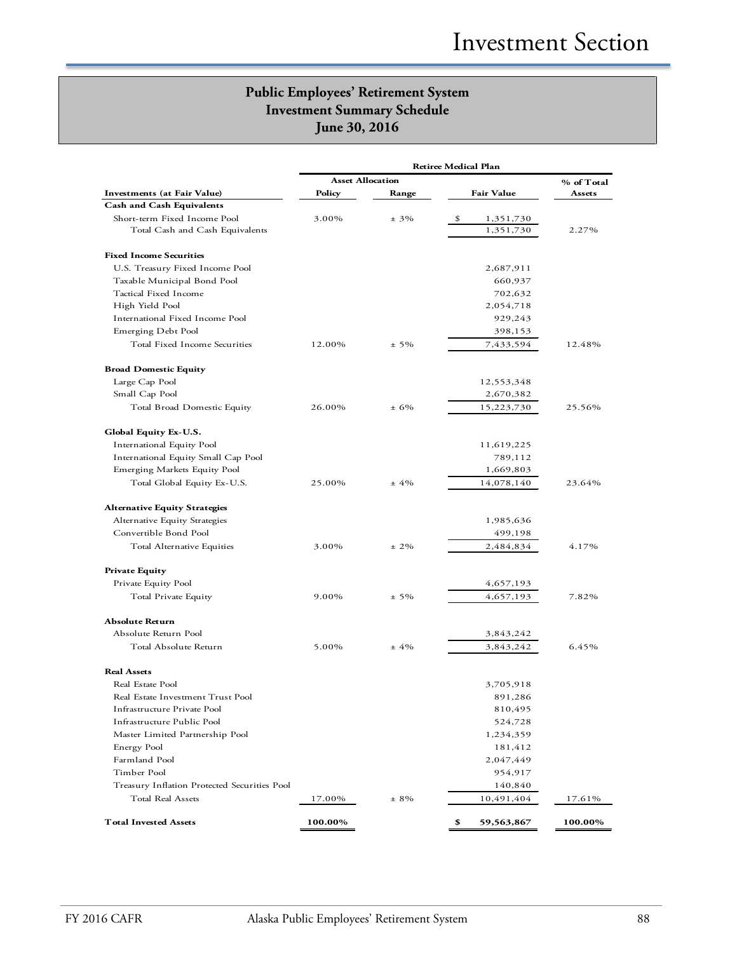|                                              | <b>Asset Allocation</b> |         |                  | % of Total |
|----------------------------------------------|-------------------------|---------|------------------|------------|
| Investments (at Fair Value)                  | Policy                  | Range   | Fair Value       | Assets     |
| <b>Cash and Cash Equivalents</b>             |                         |         |                  |            |
| Short-term Fixed Income Pool                 | 3.00%                   | $± 3\%$ | \$<br>1,351,730  |            |
| Total Cash and Cash Equivalents              |                         |         | 1,351,730        | 2.27%      |
| <b>Fixed Income Securities</b>               |                         |         |                  |            |
| U.S. Treasury Fixed Income Pool              |                         |         | 2,687,911        |            |
| Taxable Municipal Bond Pool                  |                         |         | 660,937          |            |
| Tactical Fixed Income                        |                         |         | 702,632          |            |
| High Yield Pool                              |                         |         | 2,054,718        |            |
| International Fixed Income Pool              |                         |         | 929,243          |            |
| Emerging Debt Pool                           |                         |         | 398,153          |            |
| Total Fixed Income Securities                | 12.00%                  | $± 5\%$ | 7,433,594        | 12.48%     |
| <b>Broad Domestic Equity</b>                 |                         |         |                  |            |
| Large Cap Pool                               |                         |         | 12,553,348       |            |
| Small Cap Pool                               |                         |         | 2,670,382        |            |
| Total Broad Domestic Equity                  | 26.00%                  | $± 6\%$ | 15,223,730       | 25.56%     |
| Global Equity Ex-U.S.                        |                         |         |                  |            |
| International Equity Pool                    |                         |         | 11,619,225       |            |
| International Equity Small Cap Pool          |                         |         | 789,112          |            |
| Emerging Markets Equity Pool                 |                         |         | 1,669,803        |            |
| Total Global Equity Ex-U.S.                  | 25.00%                  | $±4\%$  | 14,078,140       | 23.64%     |
| <b>Alternative Equity Strategies</b>         |                         |         |                  |            |
| Alternative Equity Strategies                |                         |         | 1,985,636        |            |
| Convertible Bond Pool                        |                         |         | 499,198          |            |
| Total Alternative Equities                   | 3.00%                   | $± 2\%$ | 2,484,834        | 4.17%      |
| <b>Private Equity</b>                        |                         |         |                  |            |
| Private Equity Pool                          |                         |         | 4,657,193        |            |
| Total Private Equity                         | 9.00%                   | $± 5\%$ | 4,657,193        | 7.82%      |
| <b>Absolute Return</b>                       |                         |         |                  |            |
| Absolute Return Pool                         |                         |         | 3,843,242        |            |
| Total Absolute Return                        | 5.00%                   | $+4\%$  | 3,843,242        | 6.45%      |
| <b>Real Assets</b>                           |                         |         |                  |            |
| Real Estate Pool                             |                         |         | 3,705,918        |            |
| Real Estate Investment Trust Pool            |                         |         | 891,286          |            |
| Infrastructure Private Pool                  |                         |         | 810,495          |            |
| Infrastructure Public Pool                   |                         |         | 524,728          |            |
| Master Limited Partnership Pool              |                         |         | 1,234,359        |            |
| Energy Pool                                  |                         |         | 181,412          |            |
| Farmland Pool                                |                         |         | 2,047,449        |            |
| Timber Pool                                  |                         |         | 954,917          |            |
| Treasury Inflation Protected Securities Pool |                         |         | 140,840          |            |
| Total Real Assets                            | 17.00%                  | $± 8\%$ | 10,491,404       | 17.61%     |
| <b>Total Invested Assets</b>                 | 100.00%                 |         | \$<br>59,563,867 | 100.00%    |